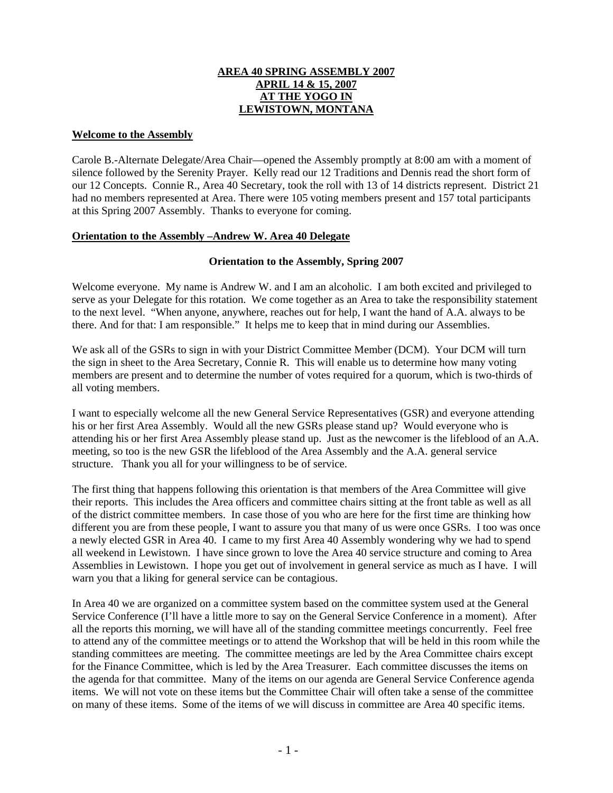# **AREA 40 SPRING ASSEMBLY 2007 APRIL 14 & 15, 2007 AT THE YOGO IN LEWISTOWN, MONTANA**

## **Welcome to the Assembly**

Carole B.-Alternate Delegate/Area Chair—opened the Assembly promptly at 8:00 am with a moment of silence followed by the Serenity Prayer. Kelly read our 12 Traditions and Dennis read the short form of our 12 Concepts. Connie R., Area 40 Secretary, took the roll with 13 of 14 districts represent. District 21 had no members represented at Area. There were 105 voting members present and 157 total participants at this Spring 2007 Assembly. Thanks to everyone for coming.

# **Orientation to the Assembly –Andrew W. Area 40 Delegate**

# **Orientation to the Assembly, Spring 2007**

Welcome everyone. My name is Andrew W. and I am an alcoholic. I am both excited and privileged to serve as your Delegate for this rotation. We come together as an Area to take the responsibility statement to the next level. "When anyone, anywhere, reaches out for help, I want the hand of A.A. always to be there. And for that: I am responsible." It helps me to keep that in mind during our Assemblies.

We ask all of the GSRs to sign in with your District Committee Member (DCM). Your DCM will turn the sign in sheet to the Area Secretary, Connie R. This will enable us to determine how many voting members are present and to determine the number of votes required for a quorum, which is two-thirds of all voting members.

I want to especially welcome all the new General Service Representatives (GSR) and everyone attending his or her first Area Assembly. Would all the new GSRs please stand up? Would everyone who is attending his or her first Area Assembly please stand up. Just as the newcomer is the lifeblood of an A.A. meeting, so too is the new GSR the lifeblood of the Area Assembly and the A.A. general service structure. Thank you all for your willingness to be of service.

The first thing that happens following this orientation is that members of the Area Committee will give their reports. This includes the Area officers and committee chairs sitting at the front table as well as all of the district committee members. In case those of you who are here for the first time are thinking how different you are from these people, I want to assure you that many of us were once GSRs. I too was once a newly elected GSR in Area 40. I came to my first Area 40 Assembly wondering why we had to spend all weekend in Lewistown. I have since grown to love the Area 40 service structure and coming to Area Assemblies in Lewistown. I hope you get out of involvement in general service as much as I have. I will warn you that a liking for general service can be contagious.

In Area 40 we are organized on a committee system based on the committee system used at the General Service Conference (I'll have a little more to say on the General Service Conference in a moment). After all the reports this morning, we will have all of the standing committee meetings concurrently. Feel free to attend any of the committee meetings or to attend the Workshop that will be held in this room while the standing committees are meeting. The committee meetings are led by the Area Committee chairs except for the Finance Committee, which is led by the Area Treasurer. Each committee discusses the items on the agenda for that committee. Many of the items on our agenda are General Service Conference agenda items. We will not vote on these items but the Committee Chair will often take a sense of the committee on many of these items. Some of the items of we will discuss in committee are Area 40 specific items.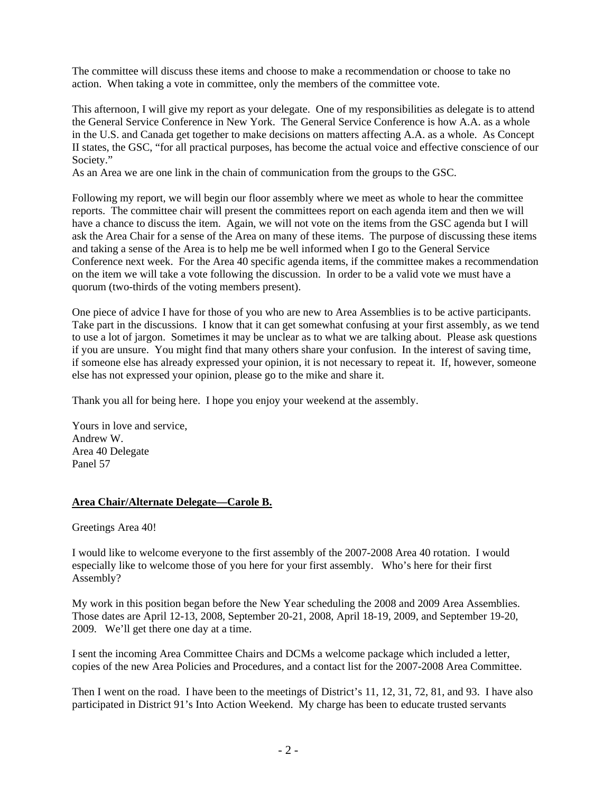The committee will discuss these items and choose to make a recommendation or choose to take no action. When taking a vote in committee, only the members of the committee vote.

This afternoon, I will give my report as your delegate. One of my responsibilities as delegate is to attend the General Service Conference in New York. The General Service Conference is how A.A. as a whole in the U.S. and Canada get together to make decisions on matters affecting A.A. as a whole. As Concept II states, the GSC, "for all practical purposes, has become the actual voice and effective conscience of our Society."

As an Area we are one link in the chain of communication from the groups to the GSC.

Following my report, we will begin our floor assembly where we meet as whole to hear the committee reports. The committee chair will present the committees report on each agenda item and then we will have a chance to discuss the item. Again, we will not vote on the items from the GSC agenda but I will ask the Area Chair for a sense of the Area on many of these items. The purpose of discussing these items and taking a sense of the Area is to help me be well informed when I go to the General Service Conference next week. For the Area 40 specific agenda items, if the committee makes a recommendation on the item we will take a vote following the discussion. In order to be a valid vote we must have a quorum (two-thirds of the voting members present).

One piece of advice I have for those of you who are new to Area Assemblies is to be active participants. Take part in the discussions. I know that it can get somewhat confusing at your first assembly, as we tend to use a lot of jargon. Sometimes it may be unclear as to what we are talking about. Please ask questions if you are unsure. You might find that many others share your confusion. In the interest of saving time, if someone else has already expressed your opinion, it is not necessary to repeat it. If, however, someone else has not expressed your opinion, please go to the mike and share it.

Thank you all for being here. I hope you enjoy your weekend at the assembly.

Yours in love and service, Andrew W. Area 40 Delegate Panel 57

## **Area Chair/Alternate Delegate—Carole B.**

Greetings Area 40!

I would like to welcome everyone to the first assembly of the 2007-2008 Area 40 rotation. I would especially like to welcome those of you here for your first assembly. Who's here for their first Assembly?

My work in this position began before the New Year scheduling the 2008 and 2009 Area Assemblies. Those dates are April 12-13, 2008, September 20-21, 2008, April 18-19, 2009, and September 19-20, 2009. We'll get there one day at a time.

I sent the incoming Area Committee Chairs and DCMs a welcome package which included a letter, copies of the new Area Policies and Procedures, and a contact list for the 2007-2008 Area Committee.

Then I went on the road. I have been to the meetings of District's 11, 12, 31, 72, 81, and 93. I have also participated in District 91's Into Action Weekend. My charge has been to educate trusted servants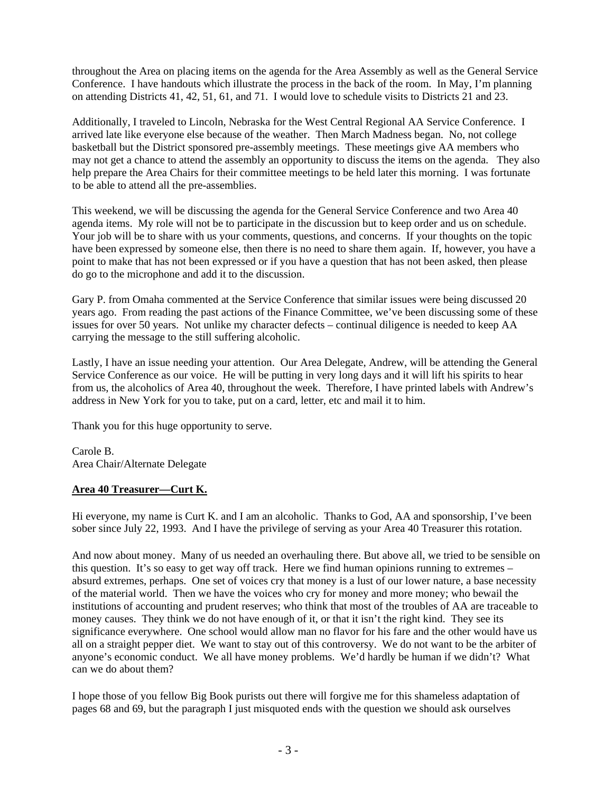throughout the Area on placing items on the agenda for the Area Assembly as well as the General Service Conference. I have handouts which illustrate the process in the back of the room. In May, I'm planning on attending Districts 41, 42, 51, 61, and 71. I would love to schedule visits to Districts 21 and 23.

Additionally, I traveled to Lincoln, Nebraska for the West Central Regional AA Service Conference. I arrived late like everyone else because of the weather. Then March Madness began. No, not college basketball but the District sponsored pre-assembly meetings. These meetings give AA members who may not get a chance to attend the assembly an opportunity to discuss the items on the agenda. They also help prepare the Area Chairs for their committee meetings to be held later this morning. I was fortunate to be able to attend all the pre-assemblies.

This weekend, we will be discussing the agenda for the General Service Conference and two Area 40 agenda items. My role will not be to participate in the discussion but to keep order and us on schedule. Your job will be to share with us your comments, questions, and concerns. If your thoughts on the topic have been expressed by someone else, then there is no need to share them again. If, however, you have a point to make that has not been expressed or if you have a question that has not been asked, then please do go to the microphone and add it to the discussion.

Gary P. from Omaha commented at the Service Conference that similar issues were being discussed 20 years ago. From reading the past actions of the Finance Committee, we've been discussing some of these issues for over 50 years. Not unlike my character defects – continual diligence is needed to keep AA carrying the message to the still suffering alcoholic.

Lastly, I have an issue needing your attention. Our Area Delegate, Andrew, will be attending the General Service Conference as our voice. He will be putting in very long days and it will lift his spirits to hear from us, the alcoholics of Area 40, throughout the week. Therefore, I have printed labels with Andrew's address in New York for you to take, put on a card, letter, etc and mail it to him.

Thank you for this huge opportunity to serve.

Carole B. Area Chair/Alternate Delegate

# **Area 40 Treasurer—Curt K.**

Hi everyone, my name is Curt K. and I am an alcoholic. Thanks to God, AA and sponsorship, I've been sober since July 22, 1993. And I have the privilege of serving as your Area 40 Treasurer this rotation.

And now about money. Many of us needed an overhauling there. But above all, we tried to be sensible on this question. It's so easy to get way off track. Here we find human opinions running to extremes – absurd extremes, perhaps. One set of voices cry that money is a lust of our lower nature, a base necessity of the material world. Then we have the voices who cry for money and more money; who bewail the institutions of accounting and prudent reserves; who think that most of the troubles of AA are traceable to money causes. They think we do not have enough of it, or that it isn't the right kind. They see its significance everywhere. One school would allow man no flavor for his fare and the other would have us all on a straight pepper diet. We want to stay out of this controversy. We do not want to be the arbiter of anyone's economic conduct. We all have money problems. We'd hardly be human if we didn't? What can we do about them?

I hope those of you fellow Big Book purists out there will forgive me for this shameless adaptation of pages 68 and 69, but the paragraph I just misquoted ends with the question we should ask ourselves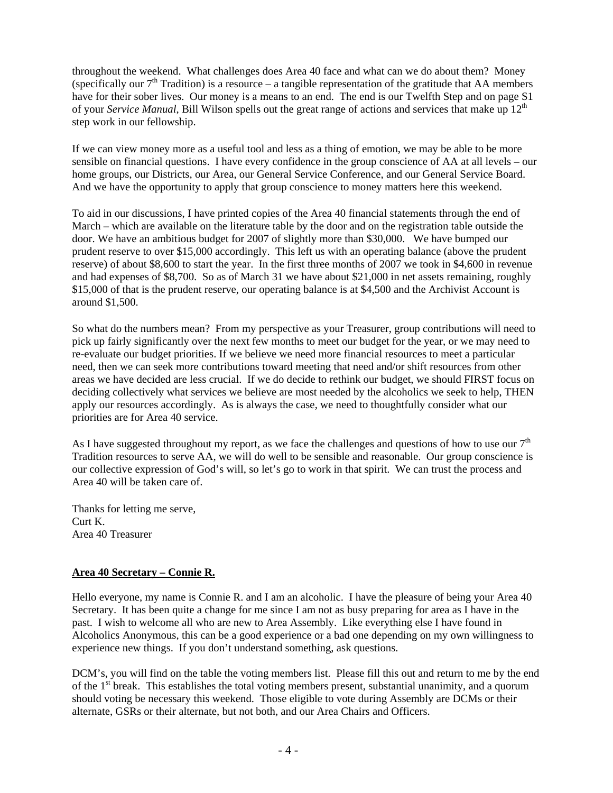throughout the weekend. What challenges does Area 40 face and what can we do about them? Money (specifically our  $7<sup>th</sup>$  Tradition) is a resource – a tangible representation of the gratitude that AA members have for their sober lives. Our money is a means to an end. The end is our Twelfth Step and on page S1 of your *Service Manual*, Bill Wilson spells out the great range of actions and services that make up 12<sup>th</sup> step work in our fellowship.

If we can view money more as a useful tool and less as a thing of emotion, we may be able to be more sensible on financial questions. I have every confidence in the group conscience of AA at all levels – our home groups, our Districts, our Area, our General Service Conference, and our General Service Board. And we have the opportunity to apply that group conscience to money matters here this weekend.

To aid in our discussions, I have printed copies of the Area 40 financial statements through the end of March – which are available on the literature table by the door and on the registration table outside the door. We have an ambitious budget for 2007 of slightly more than \$30,000. We have bumped our prudent reserve to over \$15,000 accordingly. This left us with an operating balance (above the prudent reserve) of about \$8,600 to start the year. In the first three months of 2007 we took in \$4,600 in revenue and had expenses of \$8,700. So as of March 31 we have about \$21,000 in net assets remaining, roughly \$15,000 of that is the prudent reserve, our operating balance is at \$4,500 and the Archivist Account is around \$1,500.

So what do the numbers mean? From my perspective as your Treasurer, group contributions will need to pick up fairly significantly over the next few months to meet our budget for the year, or we may need to re-evaluate our budget priorities. If we believe we need more financial resources to meet a particular need, then we can seek more contributions toward meeting that need and/or shift resources from other areas we have decided are less crucial. If we do decide to rethink our budget, we should FIRST focus on deciding collectively what services we believe are most needed by the alcoholics we seek to help, THEN apply our resources accordingly. As is always the case, we need to thoughtfully consider what our priorities are for Area 40 service.

As I have suggested throughout my report, as we face the challenges and questions of how to use our  $7<sup>th</sup>$ Tradition resources to serve AA, we will do well to be sensible and reasonable. Our group conscience is our collective expression of God's will, so let's go to work in that spirit. We can trust the process and Area 40 will be taken care of.

Thanks for letting me serve, Curt K. Area 40 Treasurer

# **Area 40 Secretary – Connie R.**

Hello everyone, my name is Connie R. and I am an alcoholic. I have the pleasure of being your Area 40 Secretary. It has been quite a change for me since I am not as busy preparing for area as I have in the past. I wish to welcome all who are new to Area Assembly. Like everything else I have found in Alcoholics Anonymous, this can be a good experience or a bad one depending on my own willingness to experience new things. If you don't understand something, ask questions.

DCM's, you will find on the table the voting members list. Please fill this out and return to me by the end of the 1st break. This establishes the total voting members present, substantial unanimity, and a quorum should voting be necessary this weekend. Those eligible to vote during Assembly are DCMs or their alternate, GSRs or their alternate, but not both, and our Area Chairs and Officers.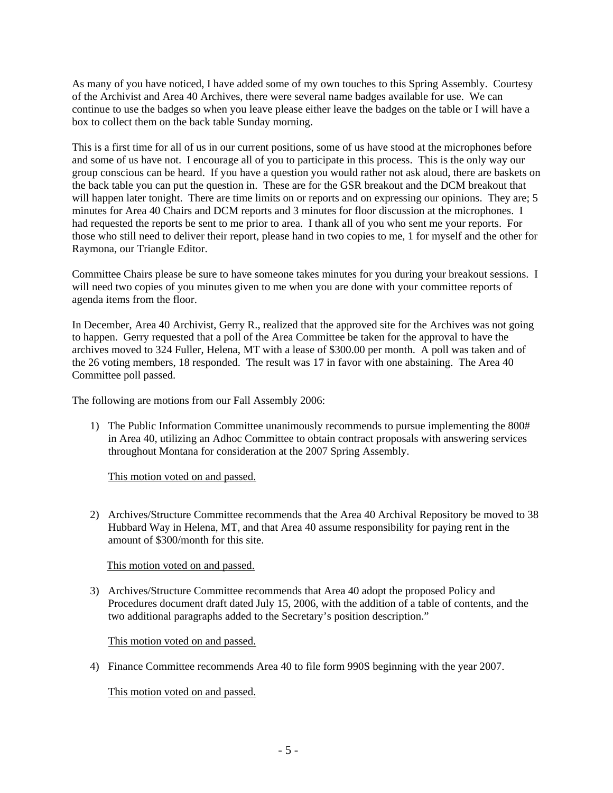As many of you have noticed, I have added some of my own touches to this Spring Assembly. Courtesy of the Archivist and Area 40 Archives, there were several name badges available for use. We can continue to use the badges so when you leave please either leave the badges on the table or I will have a box to collect them on the back table Sunday morning.

This is a first time for all of us in our current positions, some of us have stood at the microphones before and some of us have not. I encourage all of you to participate in this process. This is the only way our group conscious can be heard. If you have a question you would rather not ask aloud, there are baskets on the back table you can put the question in. These are for the GSR breakout and the DCM breakout that will happen later tonight. There are time limits on or reports and on expressing our opinions. They are; 5 minutes for Area 40 Chairs and DCM reports and 3 minutes for floor discussion at the microphones. I had requested the reports be sent to me prior to area. I thank all of you who sent me your reports. For those who still need to deliver their report, please hand in two copies to me, 1 for myself and the other for Raymona, our Triangle Editor.

Committee Chairs please be sure to have someone takes minutes for you during your breakout sessions. I will need two copies of you minutes given to me when you are done with your committee reports of agenda items from the floor.

In December, Area 40 Archivist, Gerry R., realized that the approved site for the Archives was not going to happen. Gerry requested that a poll of the Area Committee be taken for the approval to have the archives moved to 324 Fuller, Helena, MT with a lease of \$300.00 per month. A poll was taken and of the 26 voting members, 18 responded. The result was 17 in favor with one abstaining. The Area 40 Committee poll passed.

The following are motions from our Fall Assembly 2006:

1) The Public Information Committee unanimously recommends to pursue implementing the 800# in Area 40, utilizing an Adhoc Committee to obtain contract proposals with answering services throughout Montana for consideration at the 2007 Spring Assembly.

This motion voted on and passed.

2) Archives/Structure Committee recommends that the Area 40 Archival Repository be moved to 38 Hubbard Way in Helena, MT, and that Area 40 assume responsibility for paying rent in the amount of \$300/month for this site.

## This motion voted on and passed.

3) Archives/Structure Committee recommends that Area 40 adopt the proposed Policy and Procedures document draft dated July 15, 2006, with the addition of a table of contents, and the two additional paragraphs added to the Secretary's position description."

This motion voted on and passed.

4) Finance Committee recommends Area 40 to file form 990S beginning with the year 2007.

This motion voted on and passed.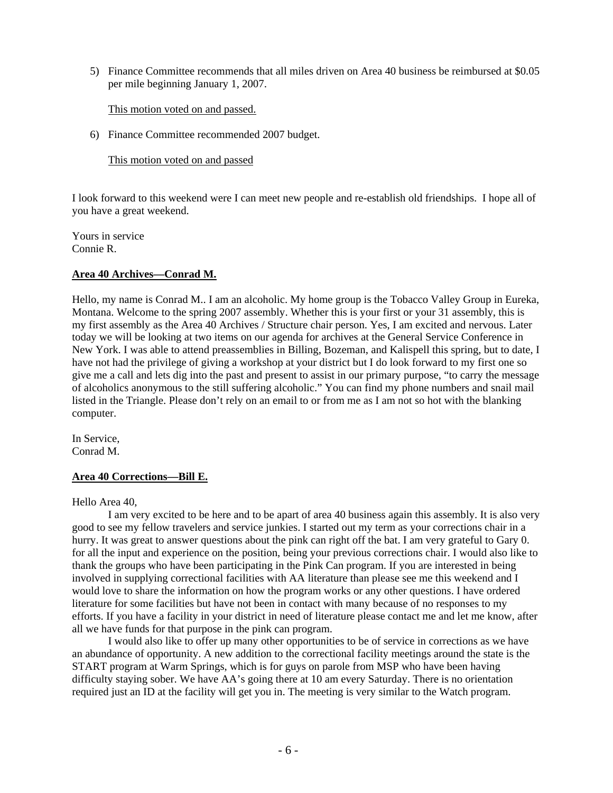5) Finance Committee recommends that all miles driven on Area 40 business be reimbursed at \$0.05 per mile beginning January 1, 2007.

This motion voted on and passed.

6) Finance Committee recommended 2007 budget.

This motion voted on and passed

I look forward to this weekend were I can meet new people and re-establish old friendships. I hope all of you have a great weekend.

Yours in service Connie R.

## **Area 40 Archives—Conrad M.**

Hello, my name is Conrad M.. I am an alcoholic. My home group is the Tobacco Valley Group in Eureka, Montana. Welcome to the spring 2007 assembly. Whether this is your first or your 31 assembly, this is my first assembly as the Area 40 Archives / Structure chair person. Yes, I am excited and nervous. Later today we will be looking at two items on our agenda for archives at the General Service Conference in New York. I was able to attend preassemblies in Billing, Bozeman, and Kalispell this spring, but to date, I have not had the privilege of giving a workshop at your district but I do look forward to my first one so give me a call and lets dig into the past and present to assist in our primary purpose, "to carry the message of alcoholics anonymous to the still suffering alcoholic." You can find my phone numbers and snail mail listed in the Triangle. Please don't rely on an email to or from me as I am not so hot with the blanking computer.

In Service, Conrad M.

#### **Area 40 Corrections—Bill E.**

Hello Area 40,

 I am very excited to be here and to be apart of area 40 business again this assembly. It is also very good to see my fellow travelers and service junkies. I started out my term as your corrections chair in a hurry. It was great to answer questions about the pink can right off the bat. I am very grateful to Gary 0. for all the input and experience on the position, being your previous corrections chair. I would also like to thank the groups who have been participating in the Pink Can program. If you are interested in being involved in supplying correctional facilities with AA literature than please see me this weekend and I would love to share the information on how the program works or any other questions. I have ordered literature for some facilities but have not been in contact with many because of no responses to my efforts. If you have a facility in your district in need of literature please contact me and let me know, after all we have funds for that purpose in the pink can program.

 I would also like to offer up many other opportunities to be of service in corrections as we have an abundance of opportunity. A new addition to the correctional facility meetings around the state is the START program at Warm Springs, which is for guys on parole from MSP who have been having difficulty staying sober. We have AA's going there at 10 am every Saturday. There is no orientation required just an ID at the facility will get you in. The meeting is very similar to the Watch program.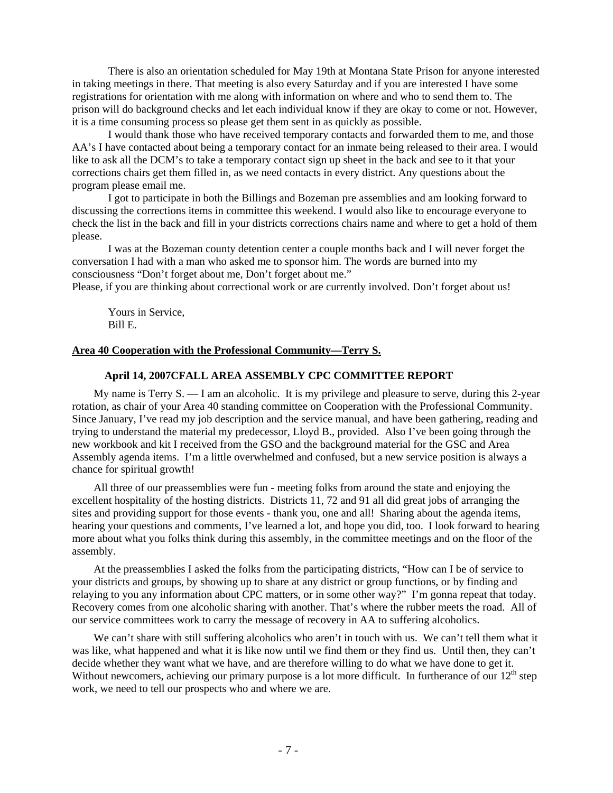There is also an orientation scheduled for May 19th at Montana State Prison for anyone interested in taking meetings in there. That meeting is also every Saturday and if you are interested I have some registrations for orientation with me along with information on where and who to send them to. The prison will do background checks and let each individual know if they are okay to come or not. However, it is a time consuming process so please get them sent in as quickly as possible.

 I would thank those who have received temporary contacts and forwarded them to me, and those AA's I have contacted about being a temporary contact for an inmate being released to their area. I would like to ask all the DCM's to take a temporary contact sign up sheet in the back and see to it that your corrections chairs get them filled in, as we need contacts in every district. Any questions about the program please email me.

 I got to participate in both the Billings and Bozeman pre assemblies and am looking forward to discussing the corrections items in committee this weekend. I would also like to encourage everyone to check the list in the back and fill in your districts corrections chairs name and where to get a hold of them please.

 I was at the Bozeman county detention center a couple months back and I will never forget the conversation I had with a man who asked me to sponsor him. The words are burned into my consciousness "Don't forget about me, Don't forget about me."

Please, if you are thinking about correctional work or are currently involved. Don't forget about us!

 Yours in Service, Bill E.

## **Area 40 Cooperation with the Professional Community—Terry S.**

#### **April 14, 2007CFALL AREA ASSEMBLY CPC COMMITTEE REPORT**

My name is Terry S. — I am an alcoholic. It is my privilege and pleasure to serve, during this 2-year rotation, as chair of your Area 40 standing committee on Cooperation with the Professional Community. Since January, I've read my job description and the service manual, and have been gathering, reading and trying to understand the material my predecessor, Lloyd B., provided. Also I've been going through the new workbook and kit I received from the GSO and the background material for the GSC and Area Assembly agenda items. I'm a little overwhelmed and confused, but a new service position is always a chance for spiritual growth!

All three of our preassemblies were fun - meeting folks from around the state and enjoying the excellent hospitality of the hosting districts. Districts 11, 72 and 91 all did great jobs of arranging the sites and providing support for those events - thank you, one and all! Sharing about the agenda items, hearing your questions and comments, I've learned a lot, and hope you did, too. I look forward to hearing more about what you folks think during this assembly, in the committee meetings and on the floor of the assembly.

At the preassemblies I asked the folks from the participating districts, "How can I be of service to your districts and groups, by showing up to share at any district or group functions, or by finding and relaying to you any information about CPC matters, or in some other way?" I'm gonna repeat that today. Recovery comes from one alcoholic sharing with another. That's where the rubber meets the road. All of our service committees work to carry the message of recovery in AA to suffering alcoholics.

We can't share with still suffering alcoholics who aren't in touch with us. We can't tell them what it was like, what happened and what it is like now until we find them or they find us. Until then, they can't decide whether they want what we have, and are therefore willing to do what we have done to get it. Without newcomers, achieving our primary purpose is a lot more difficult. In furtherance of our  $12<sup>th</sup>$  step work, we need to tell our prospects who and where we are.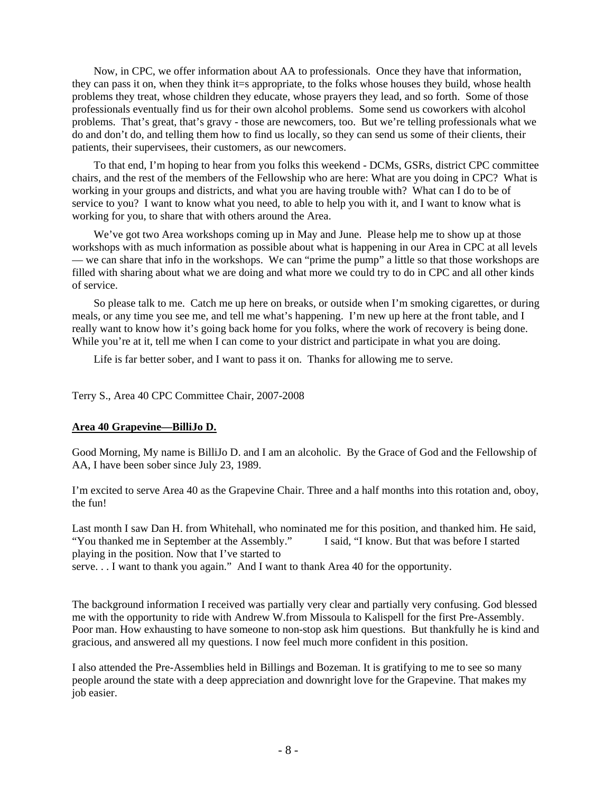Now, in CPC, we offer information about AA to professionals. Once they have that information, they can pass it on, when they think it=s appropriate, to the folks whose houses they build, whose health problems they treat, whose children they educate, whose prayers they lead, and so forth. Some of those professionals eventually find us for their own alcohol problems. Some send us coworkers with alcohol problems. That's great, that's gravy - those are newcomers, too. But we're telling professionals what we do and don't do, and telling them how to find us locally, so they can send us some of their clients, their patients, their supervisees, their customers, as our newcomers.

To that end, I'm hoping to hear from you folks this weekend - DCMs, GSRs, district CPC committee chairs, and the rest of the members of the Fellowship who are here: What are you doing in CPC? What is working in your groups and districts, and what you are having trouble with? What can I do to be of service to you? I want to know what you need, to able to help you with it, and I want to know what is working for you, to share that with others around the Area.

We've got two Area workshops coming up in May and June. Please help me to show up at those workshops with as much information as possible about what is happening in our Area in CPC at all levels — we can share that info in the workshops. We can "prime the pump" a little so that those workshops are filled with sharing about what we are doing and what more we could try to do in CPC and all other kinds of service.

So please talk to me. Catch me up here on breaks, or outside when I'm smoking cigarettes, or during meals, or any time you see me, and tell me what's happening. I'm new up here at the front table, and I really want to know how it's going back home for you folks, where the work of recovery is being done. While you're at it, tell me when I can come to your district and participate in what you are doing.

Life is far better sober, and I want to pass it on. Thanks for allowing me to serve.

Terry S., Area 40 CPC Committee Chair, 2007-2008

#### **Area 40 Grapevine—BilliJo D.**

Good Morning, My name is BilliJo D. and I am an alcoholic. By the Grace of God and the Fellowship of AA, I have been sober since July 23, 1989.

I'm excited to serve Area 40 as the Grapevine Chair. Three and a half months into this rotation and, oboy, the fun!

Last month I saw Dan H. from Whitehall, who nominated me for this position, and thanked him. He said, "You thanked me in September at the Assembly." I said, "I know. But that was before I started "You thanked me in September at the Assembly." playing in the position. Now that I've started to serve. . . I want to thank you again." And I want to thank Area 40 for the opportunity.

The background information I received was partially very clear and partially very confusing. God blessed me with the opportunity to ride with Andrew W.from Missoula to Kalispell for the first Pre-Assembly. Poor man. How exhausting to have someone to non-stop ask him questions. But thankfully he is kind and gracious, and answered all my questions. I now feel much more confident in this position.

I also attended the Pre-Assemblies held in Billings and Bozeman. It is gratifying to me to see so many people around the state with a deep appreciation and downright love for the Grapevine. That makes my job easier.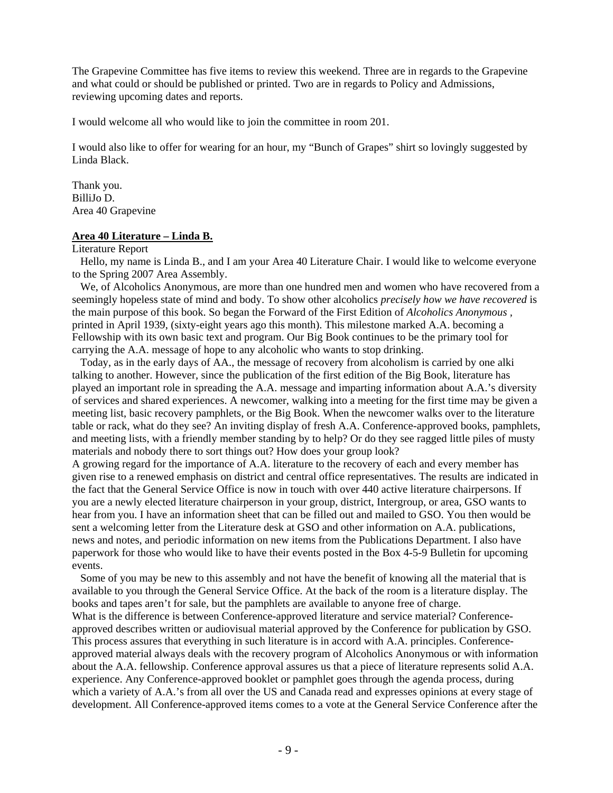The Grapevine Committee has five items to review this weekend. Three are in regards to the Grapevine and what could or should be published or printed. Two are in regards to Policy and Admissions, reviewing upcoming dates and reports.

I would welcome all who would like to join the committee in room 201.

I would also like to offer for wearing for an hour, my "Bunch of Grapes" shirt so lovingly suggested by Linda Black.

Thank you. BilliJo D. Area 40 Grapevine

#### **Area 40 Literature – Linda B.**

Literature Report

 Hello, my name is Linda B., and I am your Area 40 Literature Chair. I would like to welcome everyone to the Spring 2007 Area Assembly.

 We, of Alcoholics Anonymous, are more than one hundred men and women who have recovered from a seemingly hopeless state of mind and body. To show other alcoholics *precisely how we have recovered* is the main purpose of this book. So began the Forward of the First Edition of *Alcoholics Anonymous ,*  printed in April 1939, (sixty-eight years ago this month). This milestone marked A.A. becoming a Fellowship with its own basic text and program. Our Big Book continues to be the primary tool for carrying the A.A. message of hope to any alcoholic who wants to stop drinking.

 Today, as in the early days of AA., the message of recovery from alcoholism is carried by one alki talking to another. However, since the publication of the first edition of the Big Book, literature has played an important role in spreading the A.A. message and imparting information about A.A.'s diversity of services and shared experiences. A newcomer, walking into a meeting for the first time may be given a meeting list, basic recovery pamphlets, or the Big Book. When the newcomer walks over to the literature table or rack, what do they see? An inviting display of fresh A.A. Conference-approved books, pamphlets, and meeting lists, with a friendly member standing by to help? Or do they see ragged little piles of musty materials and nobody there to sort things out? How does your group look?

A growing regard for the importance of A.A. literature to the recovery of each and every member has given rise to a renewed emphasis on district and central office representatives. The results are indicated in the fact that the General Service Office is now in touch with over 440 active literature chairpersons. If you are a newly elected literature chairperson in your group, district, Intergroup, or area, GSO wants to hear from you. I have an information sheet that can be filled out and mailed to GSO. You then would be sent a welcoming letter from the Literature desk at GSO and other information on A.A. publications, news and notes, and periodic information on new items from the Publications Department. I also have paperwork for those who would like to have their events posted in the Box 4-5-9 Bulletin for upcoming events.

 Some of you may be new to this assembly and not have the benefit of knowing all the material that is available to you through the General Service Office. At the back of the room is a literature display. The books and tapes aren't for sale, but the pamphlets are available to anyone free of charge.

What is the difference is between Conference-approved literature and service material? Conferenceapproved describes written or audiovisual material approved by the Conference for publication by GSO. This process assures that everything in such literature is in accord with A.A. principles. Conferenceapproved material always deals with the recovery program of Alcoholics Anonymous or with information about the A.A. fellowship. Conference approval assures us that a piece of literature represents solid A.A. experience. Any Conference-approved booklet or pamphlet goes through the agenda process, during which a variety of A.A.'s from all over the US and Canada read and expresses opinions at every stage of development. All Conference-approved items comes to a vote at the General Service Conference after the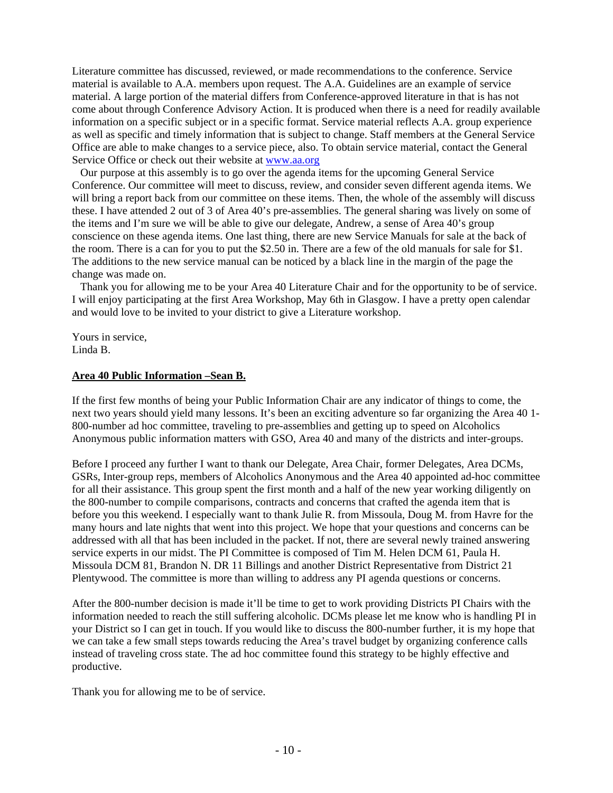Literature committee has discussed, reviewed, or made recommendations to the conference. Service material is available to A.A. members upon request. The A.A. Guidelines are an example of service material. A large portion of the material differs from Conference-approved literature in that is has not come about through Conference Advisory Action. It is produced when there is a need for readily available information on a specific subject or in a specific format. Service material reflects A.A. group experience as well as specific and timely information that is subject to change. Staff members at the General Service Office are able to make changes to a service piece, also. To obtain service material, contact the General Service Office or check out their website at www.aa.org

 Our purpose at this assembly is to go over the agenda items for the upcoming General Service Conference. Our committee will meet to discuss, review, and consider seven different agenda items. We will bring a report back from our committee on these items. Then, the whole of the assembly will discuss these. I have attended 2 out of 3 of Area 40's pre-assemblies. The general sharing was lively on some of the items and I'm sure we will be able to give our delegate, Andrew, a sense of Area 40's group conscience on these agenda items. One last thing, there are new Service Manuals for sale at the back of the room. There is a can for you to put the \$2.50 in. There are a few of the old manuals for sale for \$1. The additions to the new service manual can be noticed by a black line in the margin of the page the change was made on.

 Thank you for allowing me to be your Area 40 Literature Chair and for the opportunity to be of service. I will enjoy participating at the first Area Workshop, May 6th in Glasgow. I have a pretty open calendar and would love to be invited to your district to give a Literature workshop.

Yours in service, Linda B.

#### **Area 40 Public Information –Sean B.**

If the first few months of being your Public Information Chair are any indicator of things to come, the next two years should yield many lessons. It's been an exciting adventure so far organizing the Area 40 1- 800-number ad hoc committee, traveling to pre-assemblies and getting up to speed on Alcoholics Anonymous public information matters with GSO, Area 40 and many of the districts and inter-groups.

Before I proceed any further I want to thank our Delegate, Area Chair, former Delegates, Area DCMs, GSRs, Inter-group reps, members of Alcoholics Anonymous and the Area 40 appointed ad-hoc committee for all their assistance. This group spent the first month and a half of the new year working diligently on the 800-number to compile comparisons, contracts and concerns that crafted the agenda item that is before you this weekend. I especially want to thank Julie R. from Missoula, Doug M. from Havre for the many hours and late nights that went into this project. We hope that your questions and concerns can be addressed with all that has been included in the packet. If not, there are several newly trained answering service experts in our midst. The PI Committee is composed of Tim M. Helen DCM 61, Paula H. Missoula DCM 81, Brandon N. DR 11 Billings and another District Representative from District 21 Plentywood. The committee is more than willing to address any PI agenda questions or concerns.

After the 800-number decision is made it'll be time to get to work providing Districts PI Chairs with the information needed to reach the still suffering alcoholic. DCMs please let me know who is handling PI in your District so I can get in touch. If you would like to discuss the 800-number further, it is my hope that we can take a few small steps towards reducing the Area's travel budget by organizing conference calls instead of traveling cross state. The ad hoc committee found this strategy to be highly effective and productive.

Thank you for allowing me to be of service.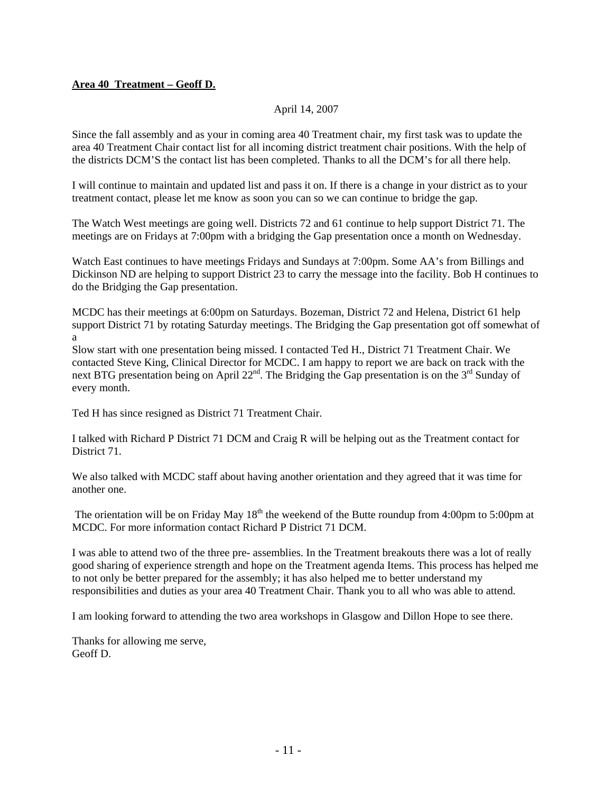# **Area 40 Treatment – Geoff D.**

## April 14, 2007

Since the fall assembly and as your in coming area 40 Treatment chair, my first task was to update the area 40 Treatment Chair contact list for all incoming district treatment chair positions. With the help of the districts DCM'S the contact list has been completed. Thanks to all the DCM's for all there help.

I will continue to maintain and updated list and pass it on. If there is a change in your district as to your treatment contact, please let me know as soon you can so we can continue to bridge the gap.

The Watch West meetings are going well. Districts 72 and 61 continue to help support District 71. The meetings are on Fridays at 7:00pm with a bridging the Gap presentation once a month on Wednesday.

Watch East continues to have meetings Fridays and Sundays at 7:00pm. Some AA's from Billings and Dickinson ND are helping to support District 23 to carry the message into the facility. Bob H continues to do the Bridging the Gap presentation.

MCDC has their meetings at 6:00pm on Saturdays. Bozeman, District 72 and Helena, District 61 help support District 71 by rotating Saturday meetings. The Bridging the Gap presentation got off somewhat of a

Slow start with one presentation being missed. I contacted Ted H., District 71 Treatment Chair. We contacted Steve King, Clinical Director for MCDC. I am happy to report we are back on track with the next BTG presentation being on April  $22^{nd}$ . The Bridging the Gap presentation is on the  $3^{rd}$  Sunday of every month.

Ted H has since resigned as District 71 Treatment Chair.

I talked with Richard P District 71 DCM and Craig R will be helping out as the Treatment contact for District 71.

We also talked with MCDC staff about having another orientation and they agreed that it was time for another one.

The orientation will be on Friday May  $18<sup>th</sup>$  the weekend of the Butte roundup from 4:00pm to 5:00pm at MCDC. For more information contact Richard P District 71 DCM.

I was able to attend two of the three pre- assemblies. In the Treatment breakouts there was a lot of really good sharing of experience strength and hope on the Treatment agenda Items. This process has helped me to not only be better prepared for the assembly; it has also helped me to better understand my responsibilities and duties as your area 40 Treatment Chair. Thank you to all who was able to attend.

I am looking forward to attending the two area workshops in Glasgow and Dillon Hope to see there.

Thanks for allowing me serve, Geoff D.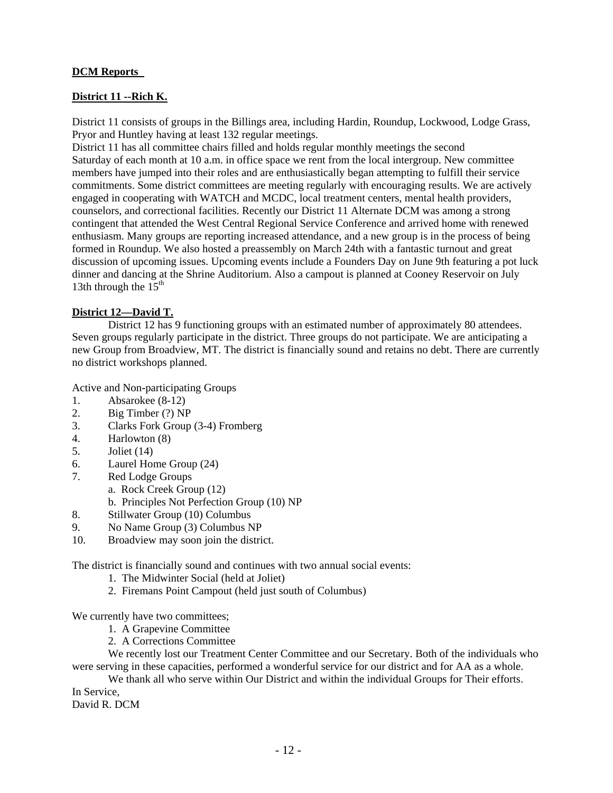# **DCM Reports**

# **District 11 --Rich K.**

District 11 consists of groups in the Billings area, including Hardin, Roundup, Lockwood, Lodge Grass, Pryor and Huntley having at least 132 regular meetings.

District 11 has all committee chairs filled and holds regular monthly meetings the second Saturday of each month at 10 a.m. in office space we rent from the local intergroup. New committee members have jumped into their roles and are enthusiastically began attempting to fulfill their service commitments. Some district committees are meeting regularly with encouraging results. We are actively engaged in cooperating with WATCH and MCDC, local treatment centers, mental health providers, counselors, and correctional facilities. Recently our District 11 Alternate DCM was among a strong contingent that attended the West Central Regional Service Conference and arrived home with renewed enthusiasm. Many groups are reporting increased attendance, and a new group is in the process of being formed in Roundup. We also hosted a preassembly on March 24th with a fantastic turnout and great discussion of upcoming issues. Upcoming events include a Founders Day on June 9th featuring a pot luck dinner and dancing at the Shrine Auditorium. Also a campout is planned at Cooney Reservoir on July 13th through the  $15<sup>th</sup>$ 

# **District 12—David T.**

 District 12 has 9 functioning groups with an estimated number of approximately 80 attendees. Seven groups regularly participate in the district. Three groups do not participate. We are anticipating a new Group from Broadview, MT. The district is financially sound and retains no debt. There are currently no district workshops planned.

Active and Non-participating Groups

- 1. Absarokee (8-12)
- 2. Big Timber (?) NP
- 3. Clarks Fork Group (3-4) Fromberg
- 4. Harlowton (8)
- 5. Joliet (14)
- 6. Laurel Home Group (24)
- 7. Red Lodge Groups
	- a. Rock Creek Group (12)
		- b. Principles Not Perfection Group (10) NP
- 8. Stillwater Group (10) Columbus
- 9. No Name Group (3) Columbus NP
- 10. Broadview may soon join the district.

The district is financially sound and continues with two annual social events:

- 1. The Midwinter Social (held at Joliet)
- 2. Firemans Point Campout (held just south of Columbus)

We currently have two committees;

- 1. A Grapevine Committee
- 2. A Corrections Committee

 We recently lost our Treatment Center Committee and our Secretary. Both of the individuals who were serving in these capacities, performed a wonderful service for our district and for AA as a whole.

 We thank all who serve within Our District and within the individual Groups for Their efforts. In Service,

David R. DCM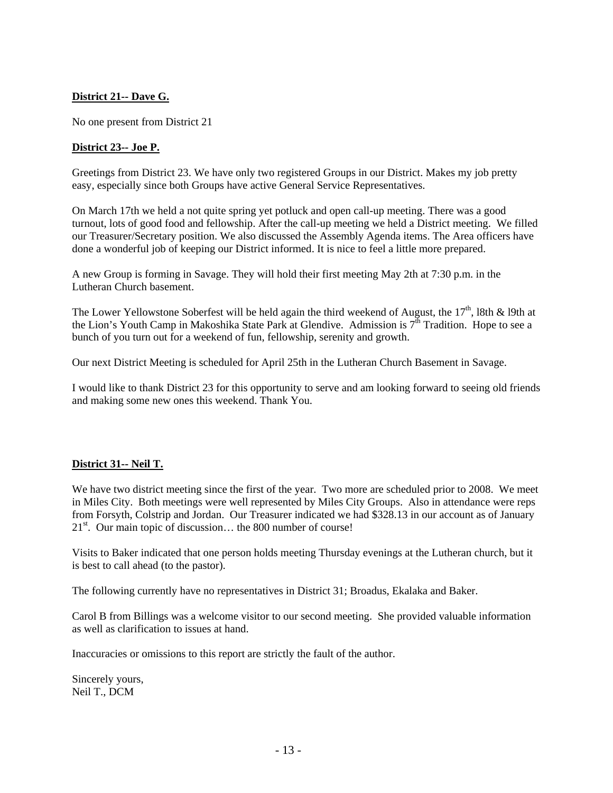# **District 21-- Dave G.**

No one present from District 21

#### **District 23-- Joe P.**

Greetings from District 23. We have only two registered Groups in our District. Makes my job pretty easy, especially since both Groups have active General Service Representatives.

On March 17th we held a not quite spring yet potluck and open call-up meeting. There was a good turnout, lots of good food and fellowship. After the call-up meeting we held a District meeting. We filled our Treasurer/Secretary position. We also discussed the Assembly Agenda items. The Area officers have done a wonderful job of keeping our District informed. It is nice to feel a little more prepared.

A new Group is forming in Savage. They will hold their first meeting May 2th at 7:30 p.m. in the Lutheran Church basement.

The Lower Yellowstone Soberfest will be held again the third weekend of August, the  $17<sup>th</sup>$ , 18th & 19th at the Lion's Youth Camp in Makoshika State Park at Glendive. Admission is  $7<sup>th</sup>$  Tradition. Hope to see a bunch of you turn out for a weekend of fun, fellowship, serenity and growth.

Our next District Meeting is scheduled for April 25th in the Lutheran Church Basement in Savage.

I would like to thank District 23 for this opportunity to serve and am looking forward to seeing old friends and making some new ones this weekend. Thank You.

## **District 31-- Neil T.**

We have two district meeting since the first of the year. Two more are scheduled prior to 2008. We meet in Miles City. Both meetings were well represented by Miles City Groups. Also in attendance were reps from Forsyth, Colstrip and Jordan. Our Treasurer indicated we had \$328.13 in our account as of January  $21<sup>st</sup>$ . Our main topic of discussion... the 800 number of course!

Visits to Baker indicated that one person holds meeting Thursday evenings at the Lutheran church, but it is best to call ahead (to the pastor).

The following currently have no representatives in District 31; Broadus, Ekalaka and Baker.

Carol B from Billings was a welcome visitor to our second meeting. She provided valuable information as well as clarification to issues at hand.

Inaccuracies or omissions to this report are strictly the fault of the author.

Sincerely yours, Neil T., DCM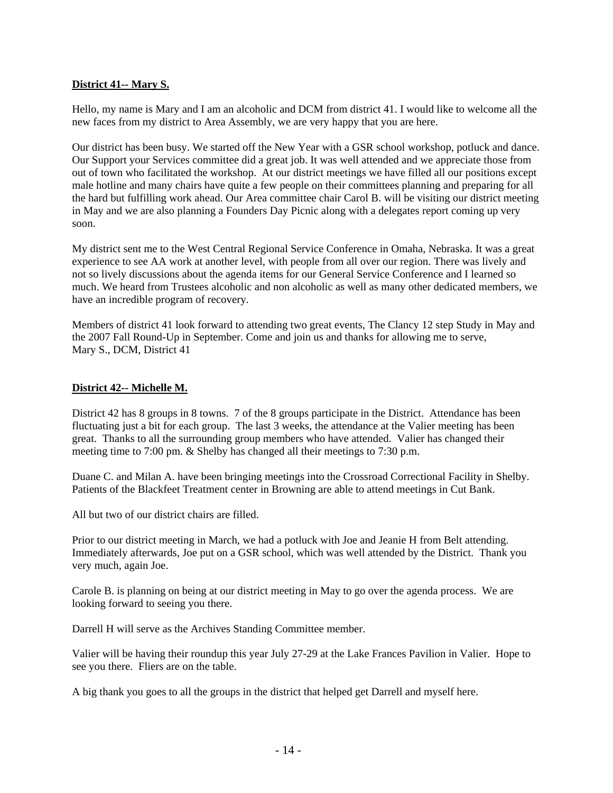# **District 41-- Mary S.**

Hello, my name is Mary and I am an alcoholic and DCM from district 41. I would like to welcome all the new faces from my district to Area Assembly, we are very happy that you are here.

Our district has been busy. We started off the New Year with a GSR school workshop, potluck and dance. Our Support your Services committee did a great job. It was well attended and we appreciate those from out of town who facilitated the workshop. At our district meetings we have filled all our positions except male hotline and many chairs have quite a few people on their committees planning and preparing for all the hard but fulfilling work ahead. Our Area committee chair Carol B. will be visiting our district meeting in May and we are also planning a Founders Day Picnic along with a delegates report coming up very soon.

My district sent me to the West Central Regional Service Conference in Omaha, Nebraska. It was a great experience to see AA work at another level, with people from all over our region. There was lively and not so lively discussions about the agenda items for our General Service Conference and I learned so much. We heard from Trustees alcoholic and non alcoholic as well as many other dedicated members, we have an incredible program of recovery.

Members of district 41 look forward to attending two great events, The Clancy 12 step Study in May and the 2007 Fall Round-Up in September. Come and join us and thanks for allowing me to serve, Mary S., DCM, District 41

## **District 42-- Michelle M.**

District 42 has 8 groups in 8 towns. 7 of the 8 groups participate in the District. Attendance has been fluctuating just a bit for each group. The last 3 weeks, the attendance at the Valier meeting has been great. Thanks to all the surrounding group members who have attended. Valier has changed their meeting time to 7:00 pm. & Shelby has changed all their meetings to 7:30 p.m.

Duane C. and Milan A. have been bringing meetings into the Crossroad Correctional Facility in Shelby. Patients of the Blackfeet Treatment center in Browning are able to attend meetings in Cut Bank.

All but two of our district chairs are filled.

Prior to our district meeting in March, we had a potluck with Joe and Jeanie H from Belt attending. Immediately afterwards, Joe put on a GSR school, which was well attended by the District. Thank you very much, again Joe.

Carole B. is planning on being at our district meeting in May to go over the agenda process. We are looking forward to seeing you there.

Darrell H will serve as the Archives Standing Committee member.

Valier will be having their roundup this year July 27-29 at the Lake Frances Pavilion in Valier. Hope to see you there. Fliers are on the table.

A big thank you goes to all the groups in the district that helped get Darrell and myself here.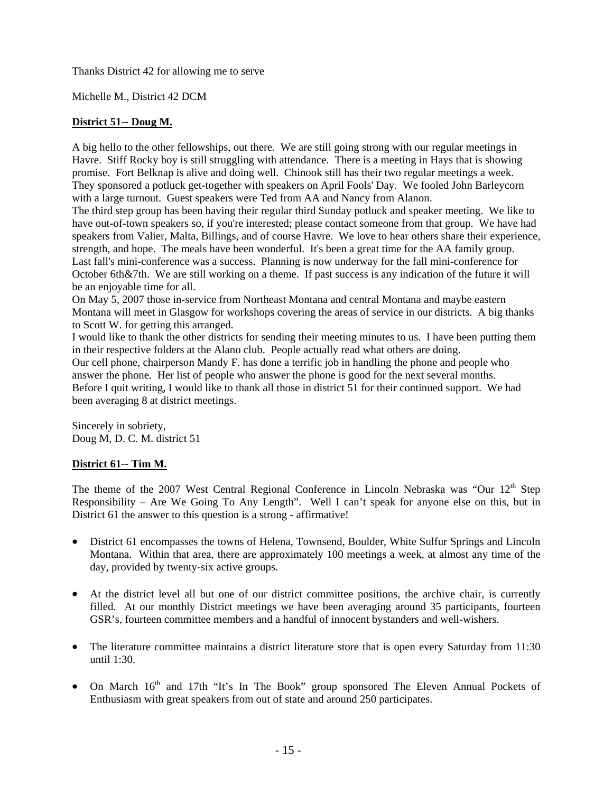Thanks District 42 for allowing me to serve

Michelle M., District 42 DCM

# **District 51-- Doug M.**

A big hello to the other fellowships, out there. We are still going strong with our regular meetings in Havre. Stiff Rocky boy is still struggling with attendance. There is a meeting in Hays that is showing promise. Fort Belknap is alive and doing well. Chinook still has their two regular meetings a week. They sponsored a potluck get-together with speakers on April Fools' Day. We fooled John Barleycorn with a large turnout. Guest speakers were Ted from AA and Nancy from Alanon.

The third step group has been having their regular third Sunday potluck and speaker meeting. We like to have out-of-town speakers so, if you're interested; please contact someone from that group. We have had speakers from Valier, Malta, Billings, and of course Havre. We love to hear others share their experience, strength, and hope. The meals have been wonderful. It's been a great time for the AA family group. Last fall's mini-conference was a success. Planning is now underway for the fall mini-conference for October 6th&7th. We are still working on a theme. If past success is any indication of the future it will be an enjoyable time for all.

On May 5, 2007 those in-service from Northeast Montana and central Montana and maybe eastern Montana will meet in Glasgow for workshops covering the areas of service in our districts. A big thanks to Scott W. for getting this arranged.

I would like to thank the other districts for sending their meeting minutes to us. I have been putting them in their respective folders at the Alano club. People actually read what others are doing.

Our cell phone, chairperson Mandy F. has done a terrific job in handling the phone and people who answer the phone. Her list of people who answer the phone is good for the next several months. Before I quit writing, I would like to thank all those in district 51 for their continued support. We had been averaging 8 at district meetings.

Sincerely in sobriety, Doug M, D. C. M. district 51

## **District 61-- Tim M.**

The theme of the 2007 West Central Regional Conference in Lincoln Nebraska was "Our  $12<sup>th</sup>$  Step Responsibility – Are We Going To Any Length". Well I can't speak for anyone else on this, but in District 61 the answer to this question is a strong - affirmative!

- District 61 encompasses the towns of Helena, Townsend, Boulder, White Sulfur Springs and Lincoln Montana. Within that area, there are approximately 100 meetings a week, at almost any time of the day, provided by twenty-six active groups.
- At the district level all but one of our district committee positions, the archive chair, is currently filled. At our monthly District meetings we have been averaging around 35 participants, fourteen GSR's, fourteen committee members and a handful of innocent bystanders and well-wishers.
- The literature committee maintains a district literature store that is open every Saturday from 11:30 until 1:30.
- On March 16<sup>th</sup> and 17th "It's In The Book" group sponsored The Eleven Annual Pockets of Enthusiasm with great speakers from out of state and around 250 participates.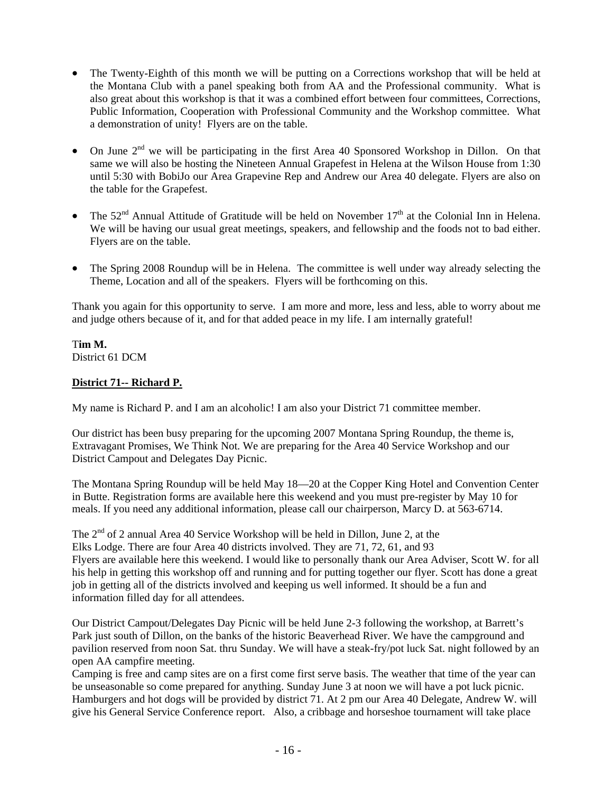- The Twenty-Eighth of this month we will be putting on a Corrections workshop that will be held at the Montana Club with a panel speaking both from AA and the Professional community. What is also great about this workshop is that it was a combined effort between four committees, Corrections, Public Information, Cooperation with Professional Community and the Workshop committee. What a demonstration of unity! Flyers are on the table.
- On June  $2<sup>nd</sup>$  we will be participating in the first Area 40 Sponsored Workshop in Dillon. On that same we will also be hosting the Nineteen Annual Grapefest in Helena at the Wilson House from 1:30 until 5:30 with BobiJo our Area Grapevine Rep and Andrew our Area 40 delegate. Flyers are also on the table for the Grapefest.
- The  $52<sup>nd</sup>$  Annual Attitude of Gratitude will be held on November  $17<sup>th</sup>$  at the Colonial Inn in Helena. We will be having our usual great meetings, speakers, and fellowship and the foods not to bad either. Flyers are on the table.
- The Spring 2008 Roundup will be in Helena. The committee is well under way already selecting the Theme, Location and all of the speakers. Flyers will be forthcoming on this.

Thank you again for this opportunity to serve. I am more and more, less and less, able to worry about me and judge others because of it, and for that added peace in my life. I am internally grateful!

T**im M.**  District 61 DCM

# **District 71-- Richard P.**

My name is Richard P. and I am an alcoholic! I am also your District 71 committee member.

Our district has been busy preparing for the upcoming 2007 Montana Spring Roundup, the theme is, Extravagant Promises, We Think Not. We are preparing for the Area 40 Service Workshop and our District Campout and Delegates Day Picnic.

The Montana Spring Roundup will be held May 18—20 at the Copper King Hotel and Convention Center in Butte. Registration forms are available here this weekend and you must pre-register by May 10 for meals. If you need any additional information, please call our chairperson, Marcy D. at 563-6714.

The 2nd of 2 annual Area 40 Service Workshop will be held in Dillon, June 2, at the Elks Lodge. There are four Area 40 districts involved. They are 71, 72, 61, and 93 Flyers are available here this weekend. I would like to personally thank our Area Adviser, Scott W. for all his help in getting this workshop off and running and for putting together our flyer. Scott has done a great job in getting all of the districts involved and keeping us well informed. It should be a fun and information filled day for all attendees.

Our District Campout/Delegates Day Picnic will be held June 2-3 following the workshop, at Barrett's Park just south of Dillon, on the banks of the historic Beaverhead River. We have the campground and pavilion reserved from noon Sat. thru Sunday. We will have a steak-fry/pot luck Sat. night followed by an open AA campfire meeting.

Camping is free and camp sites are on a first come first serve basis. The weather that time of the year can be unseasonable so come prepared for anything. Sunday June 3 at noon we will have a pot luck picnic. Hamburgers and hot dogs will be provided by district 71. At 2 pm our Area 40 Delegate, Andrew W. will give his General Service Conference report. Also, a cribbage and horseshoe tournament will take place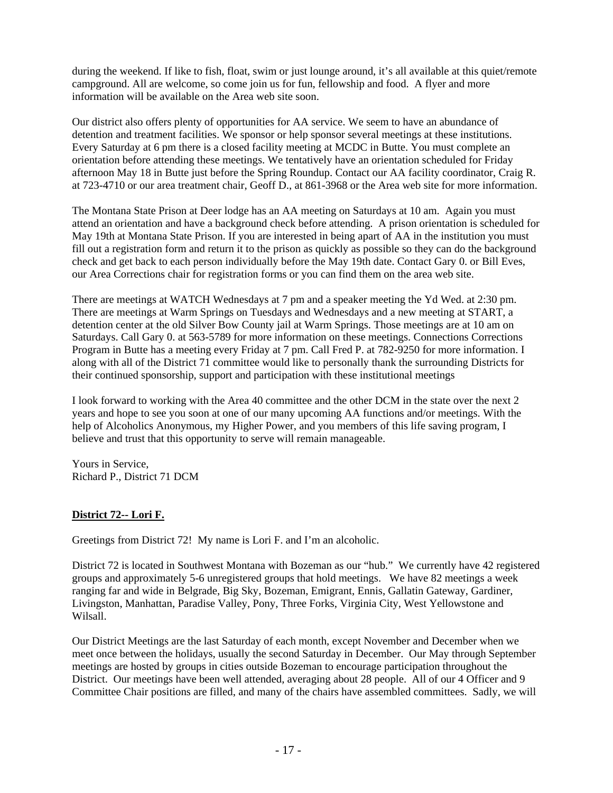during the weekend. If like to fish, float, swim or just lounge around, it's all available at this quiet/remote campground. All are welcome, so come join us for fun, fellowship and food. A flyer and more information will be available on the Area web site soon.

Our district also offers plenty of opportunities for AA service. We seem to have an abundance of detention and treatment facilities. We sponsor or help sponsor several meetings at these institutions. Every Saturday at 6 pm there is a closed facility meeting at MCDC in Butte. You must complete an orientation before attending these meetings. We tentatively have an orientation scheduled for Friday afternoon May 18 in Butte just before the Spring Roundup. Contact our AA facility coordinator, Craig R. at 723-4710 or our area treatment chair, Geoff D., at 861-3968 or the Area web site for more information.

The Montana State Prison at Deer lodge has an AA meeting on Saturdays at 10 am. Again you must attend an orientation and have a background check before attending. A prison orientation is scheduled for May 19th at Montana State Prison. If you are interested in being apart of AA in the institution you must fill out a registration form and return it to the prison as quickly as possible so they can do the background check and get back to each person individually before the May 19th date. Contact Gary 0. or Bill Eves, our Area Corrections chair for registration forms or you can find them on the area web site.

There are meetings at WATCH Wednesdays at 7 pm and a speaker meeting the Yd Wed. at 2:30 pm. There are meetings at Warm Springs on Tuesdays and Wednesdays and a new meeting at START, a detention center at the old Silver Bow County jail at Warm Springs. Those meetings are at 10 am on Saturdays. Call Gary 0. at 563-5789 for more information on these meetings. Connections Corrections Program in Butte has a meeting every Friday at 7 pm. Call Fred P. at 782-9250 for more information. I along with all of the District 71 committee would like to personally thank the surrounding Districts for their continued sponsorship, support and participation with these institutional meetings

I look forward to working with the Area 40 committee and the other DCM in the state over the next 2 years and hope to see you soon at one of our many upcoming AA functions and/or meetings. With the help of Alcoholics Anonymous, my Higher Power, and you members of this life saving program, I believe and trust that this opportunity to serve will remain manageable.

Yours in Service, Richard P., District 71 DCM

# **District 72-- Lori F.**

Greetings from District 72! My name is Lori F. and I'm an alcoholic.

District 72 is located in Southwest Montana with Bozeman as our "hub." We currently have 42 registered groups and approximately 5-6 unregistered groups that hold meetings. We have 82 meetings a week ranging far and wide in Belgrade, Big Sky, Bozeman, Emigrant, Ennis, Gallatin Gateway, Gardiner, Livingston, Manhattan, Paradise Valley, Pony, Three Forks, Virginia City, West Yellowstone and Wilsall.

Our District Meetings are the last Saturday of each month, except November and December when we meet once between the holidays, usually the second Saturday in December. Our May through September meetings are hosted by groups in cities outside Bozeman to encourage participation throughout the District. Our meetings have been well attended, averaging about 28 people. All of our 4 Officer and 9 Committee Chair positions are filled, and many of the chairs have assembled committees. Sadly, we will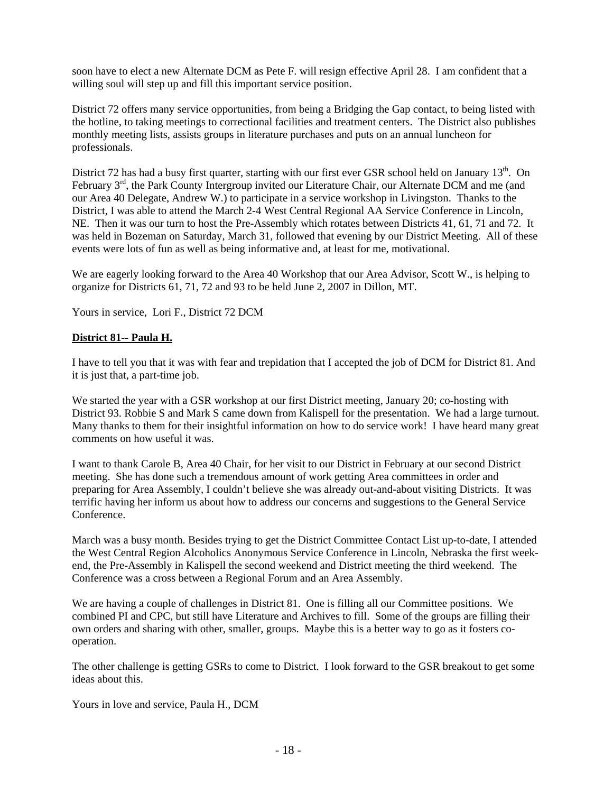soon have to elect a new Alternate DCM as Pete F. will resign effective April 28. I am confident that a willing soul will step up and fill this important service position.

District 72 offers many service opportunities, from being a Bridging the Gap contact, to being listed with the hotline, to taking meetings to correctional facilities and treatment centers. The District also publishes monthly meeting lists, assists groups in literature purchases and puts on an annual luncheon for professionals.

District 72 has had a busy first quarter, starting with our first ever GSR school held on January  $13<sup>th</sup>$ . On February 3<sup>rd</sup>, the Park County Intergroup invited our Literature Chair, our Alternate DCM and me (and our Area 40 Delegate, Andrew W.) to participate in a service workshop in Livingston. Thanks to the District, I was able to attend the March 2-4 West Central Regional AA Service Conference in Lincoln, NE. Then it was our turn to host the Pre-Assembly which rotates between Districts 41, 61, 71 and 72. It was held in Bozeman on Saturday, March 31, followed that evening by our District Meeting. All of these events were lots of fun as well as being informative and, at least for me, motivational.

We are eagerly looking forward to the Area 40 Workshop that our Area Advisor, Scott W., is helping to organize for Districts 61, 71, 72 and 93 to be held June 2, 2007 in Dillon, MT.

Yours in service, Lori F., District 72 DCM

## **District 81-- Paula H.**

I have to tell you that it was with fear and trepidation that I accepted the job of DCM for District 81. And it is just that, a part-time job.

We started the year with a GSR workshop at our first District meeting, January 20; co-hosting with District 93. Robbie S and Mark S came down from Kalispell for the presentation. We had a large turnout. Many thanks to them for their insightful information on how to do service work! I have heard many great comments on how useful it was.

I want to thank Carole B, Area 40 Chair, for her visit to our District in February at our second District meeting. She has done such a tremendous amount of work getting Area committees in order and preparing for Area Assembly, I couldn't believe she was already out-and-about visiting Districts. It was terrific having her inform us about how to address our concerns and suggestions to the General Service Conference.

March was a busy month. Besides trying to get the District Committee Contact List up-to-date, I attended the West Central Region Alcoholics Anonymous Service Conference in Lincoln, Nebraska the first weekend, the Pre-Assembly in Kalispell the second weekend and District meeting the third weekend. The Conference was a cross between a Regional Forum and an Area Assembly.

We are having a couple of challenges in District 81. One is filling all our Committee positions. We combined PI and CPC, but still have Literature and Archives to fill. Some of the groups are filling their own orders and sharing with other, smaller, groups. Maybe this is a better way to go as it fosters cooperation.

The other challenge is getting GSRs to come to District. I look forward to the GSR breakout to get some ideas about this.

Yours in love and service, Paula H., DCM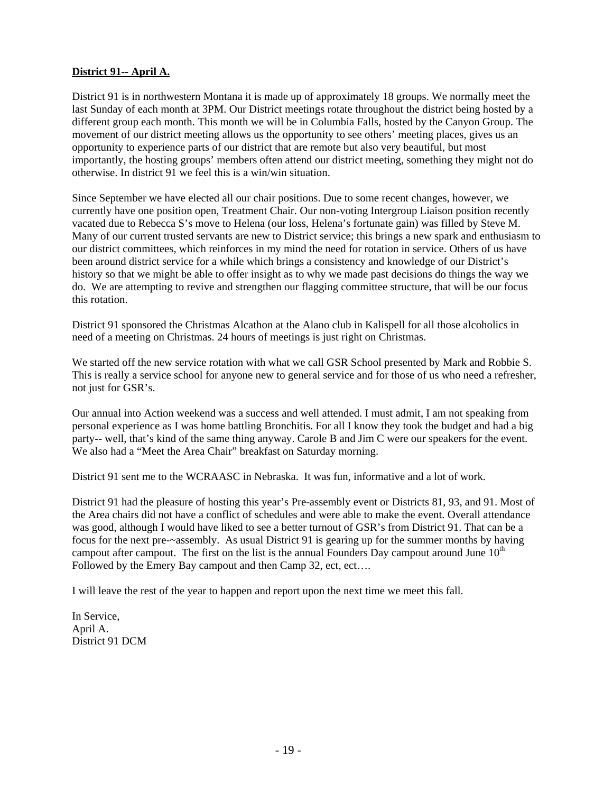# **District 91-- April A.**

District 91 is in northwestern Montana it is made up of approximately 18 groups. We normally meet the last Sunday of each month at 3PM. Our District meetings rotate throughout the district being hosted by a different group each month. This month we will be in Columbia Falls, hosted by the Canyon Group. The movement of our district meeting allows us the opportunity to see others' meeting places, gives us an opportunity to experience parts of our district that are remote but also very beautiful, but most importantly, the hosting groups' members often attend our district meeting, something they might not do otherwise. In district 91 we feel this is a win/win situation.

Since September we have elected all our chair positions. Due to some recent changes, however, we currently have one position open, Treatment Chair. Our non-voting Intergroup Liaison position recently vacated due to Rebecca S's move to Helena (our loss, Helena's fortunate gain) was filled by Steve M. Many of our current trusted servants are new to District service; this brings a new spark and enthusiasm to our district committees, which reinforces in my mind the need for rotation in service. Others of us have been around district service for a while which brings a consistency and knowledge of our District's history so that we might be able to offer insight as to why we made past decisions do things the way we do. We are attempting to revive and strengthen our flagging committee structure, that will be our focus this rotation.

District 91 sponsored the Christmas Alcathon at the Alano club in Kalispell for all those alcoholics in need of a meeting on Christmas. 24 hours of meetings is just right on Christmas.

We started off the new service rotation with what we call GSR School presented by Mark and Robbie S. This is really a service school for anyone new to general service and for those of us who need a refresher, not just for GSR's.

Our annual into Action weekend was a success and well attended. I must admit, I am not speaking from personal experience as I was home battling Bronchitis. For all I know they took the budget and had a big party-- well, that's kind of the same thing anyway. Carole B and Jim C were our speakers for the event. We also had a "Meet the Area Chair" breakfast on Saturday morning.

District 91 sent me to the WCRAASC in Nebraska. It was fun, informative and a lot of work.

District 91 had the pleasure of hosting this year's Pre-assembly event or Districts 81, 93, and 91. Most of the Area chairs did not have a conflict of schedules and were able to make the event. Overall attendance was good, although I would have liked to see a better turnout of GSR's from District 91. That can be a focus for the next pre-~assembly. As usual District 91 is gearing up for the summer months by having campout after campout. The first on the list is the annual Founders Day campout around June  $10<sup>th</sup>$ Followed by the Emery Bay campout and then Camp 32, ect, ect….

I will leave the rest of the year to happen and report upon the next time we meet this fall.

In Service, April A. District 91 DCM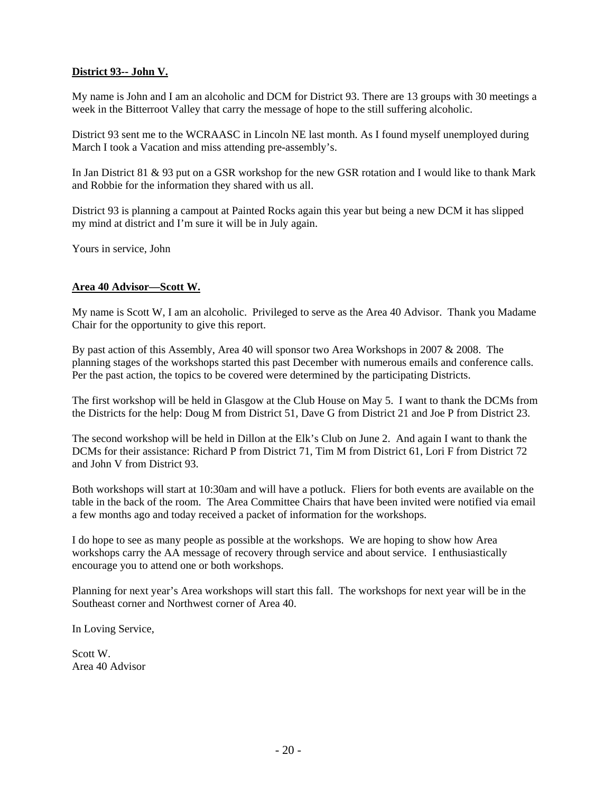# **District 93-- John V.**

My name is John and I am an alcoholic and DCM for District 93. There are 13 groups with 30 meetings a week in the Bitterroot Valley that carry the message of hope to the still suffering alcoholic.

District 93 sent me to the WCRAASC in Lincoln NE last month. As I found myself unemployed during March I took a Vacation and miss attending pre-assembly's.

In Jan District 81 & 93 put on a GSR workshop for the new GSR rotation and I would like to thank Mark and Robbie for the information they shared with us all.

District 93 is planning a campout at Painted Rocks again this year but being a new DCM it has slipped my mind at district and I'm sure it will be in July again.

Yours in service, John

## **Area 40 Advisor—Scott W.**

My name is Scott W, I am an alcoholic. Privileged to serve as the Area 40 Advisor. Thank you Madame Chair for the opportunity to give this report.

By past action of this Assembly, Area 40 will sponsor two Area Workshops in 2007 & 2008. The planning stages of the workshops started this past December with numerous emails and conference calls. Per the past action, the topics to be covered were determined by the participating Districts.

The first workshop will be held in Glasgow at the Club House on May 5. I want to thank the DCMs from the Districts for the help: Doug M from District 51, Dave G from District 21 and Joe P from District 23.

The second workshop will be held in Dillon at the Elk's Club on June 2. And again I want to thank the DCMs for their assistance: Richard P from District 71, Tim M from District 61, Lori F from District 72 and John V from District 93.

Both workshops will start at 10:30am and will have a potluck. Fliers for both events are available on the table in the back of the room. The Area Committee Chairs that have been invited were notified via email a few months ago and today received a packet of information for the workshops.

I do hope to see as many people as possible at the workshops. We are hoping to show how Area workshops carry the AA message of recovery through service and about service. I enthusiastically encourage you to attend one or both workshops.

Planning for next year's Area workshops will start this fall. The workshops for next year will be in the Southeast corner and Northwest corner of Area 40.

In Loving Service,

Scott W. Area 40 Advisor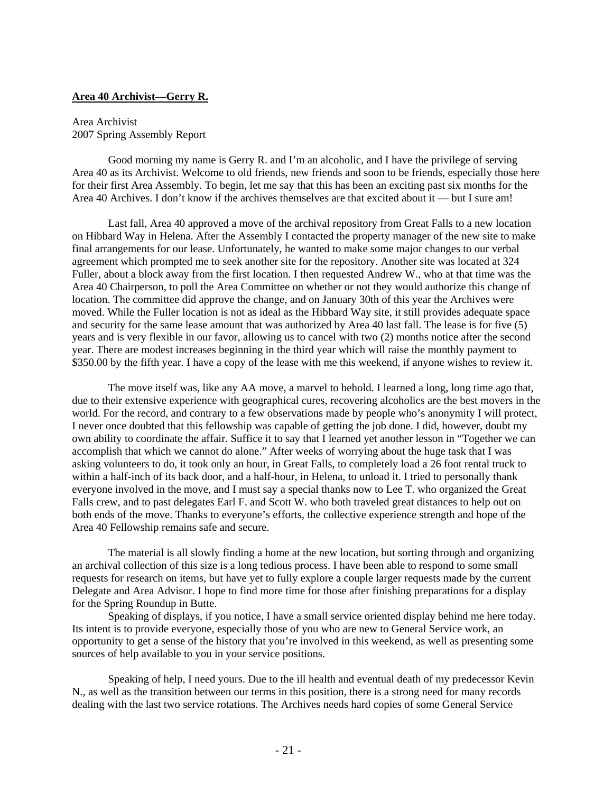#### **Area 40 Archivist—Gerry R.**

#### Area Archivist 2007 Spring Assembly Report

 Good morning my name is Gerry R. and I'm an alcoholic, and I have the privilege of serving Area 40 as its Archivist. Welcome to old friends, new friends and soon to be friends, especially those here for their first Area Assembly. To begin, let me say that this has been an exciting past six months for the Area 40 Archives. I don't know if the archives themselves are that excited about it — but I sure am!

 Last fall, Area 40 approved a move of the archival repository from Great Falls to a new location on Hibbard Way in Helena. After the Assembly I contacted the property manager of the new site to make final arrangements for our lease. Unfortunately, he wanted to make some major changes to our verbal agreement which prompted me to seek another site for the repository. Another site was located at 324 Fuller, about a block away from the first location. I then requested Andrew W., who at that time was the Area 40 Chairperson, to poll the Area Committee on whether or not they would authorize this change of location. The committee did approve the change, and on January 30th of this year the Archives were moved. While the Fuller location is not as ideal as the Hibbard Way site, it still provides adequate space and security for the same lease amount that was authorized by Area 40 last fall. The lease is for five (5) years and is very flexible in our favor, allowing us to cancel with two (2) months notice after the second year. There are modest increases beginning in the third year which will raise the monthly payment to \$350.00 by the fifth year. I have a copy of the lease with me this weekend, if anyone wishes to review it.

 The move itself was, like any AA move, a marvel to behold. I learned a long, long time ago that, due to their extensive experience with geographical cures, recovering alcoholics are the best movers in the world. For the record, and contrary to a few observations made by people who's anonymity I will protect, I never once doubted that this fellowship was capable of getting the job done. I did, however, doubt my own ability to coordinate the affair. Suffice it to say that I learned yet another lesson in "Together we can accomplish that which we cannot do alone." After weeks of worrying about the huge task that I was asking volunteers to do, it took only an hour, in Great Falls, to completely load a 26 foot rental truck to within a half-inch of its back door, and a half-hour, in Helena, to unload it. I tried to personally thank everyone involved in the move, and I must say a special thanks now to Lee T. who organized the Great Falls crew, and to past delegates Earl F. and Scott W. who both traveled great distances to help out on both ends of the move. Thanks to everyone's efforts, the collective experience strength and hope of the Area 40 Fellowship remains safe and secure.

 The material is all slowly finding a home at the new location, but sorting through and organizing an archival collection of this size is a long tedious process. I have been able to respond to some small requests for research on items, but have yet to fully explore a couple larger requests made by the current Delegate and Area Advisor. I hope to find more time for those after finishing preparations for a display for the Spring Roundup in Butte.

 Speaking of displays, if you notice, I have a small service oriented display behind me here today. Its intent is to provide everyone, especially those of you who are new to General Service work, an opportunity to get a sense of the history that you're involved in this weekend, as well as presenting some sources of help available to you in your service positions.

 Speaking of help, I need yours. Due to the ill health and eventual death of my predecessor Kevin N., as well as the transition between our terms in this position, there is a strong need for many records dealing with the last two service rotations. The Archives needs hard copies of some General Service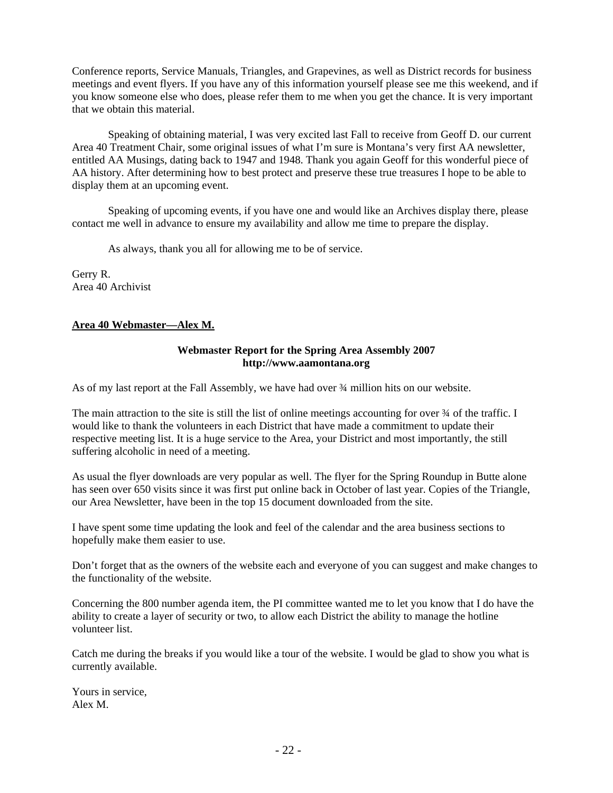Conference reports, Service Manuals, Triangles, and Grapevines, as well as District records for business meetings and event flyers. If you have any of this information yourself please see me this weekend, and if you know someone else who does, please refer them to me when you get the chance. It is very important that we obtain this material.

 Speaking of obtaining material, I was very excited last Fall to receive from Geoff D. our current Area 40 Treatment Chair, some original issues of what I'm sure is Montana's very first AA newsletter, entitled AA Musings, dating back to 1947 and 1948. Thank you again Geoff for this wonderful piece of AA history. After determining how to best protect and preserve these true treasures I hope to be able to display them at an upcoming event.

 Speaking of upcoming events, if you have one and would like an Archives display there, please contact me well in advance to ensure my availability and allow me time to prepare the display.

As always, thank you all for allowing me to be of service.

Gerry R. Area 40 Archivist

# **Area 40 Webmaster—Alex M.**

#### **Webmaster Report for the Spring Area Assembly 2007 http://www.aamontana.org**

As of my last report at the Fall Assembly, we have had over ¾ million hits on our website.

The main attraction to the site is still the list of online meetings accounting for over  $\frac{3}{4}$  of the traffic. I would like to thank the volunteers in each District that have made a commitment to update their respective meeting list. It is a huge service to the Area, your District and most importantly, the still suffering alcoholic in need of a meeting.

As usual the flyer downloads are very popular as well. The flyer for the Spring Roundup in Butte alone has seen over 650 visits since it was first put online back in October of last year. Copies of the Triangle, our Area Newsletter, have been in the top 15 document downloaded from the site.

I have spent some time updating the look and feel of the calendar and the area business sections to hopefully make them easier to use.

Don't forget that as the owners of the website each and everyone of you can suggest and make changes to the functionality of the website.

Concerning the 800 number agenda item, the PI committee wanted me to let you know that I do have the ability to create a layer of security or two, to allow each District the ability to manage the hotline volunteer list.

Catch me during the breaks if you would like a tour of the website. I would be glad to show you what is currently available.

Yours in service, Alex M.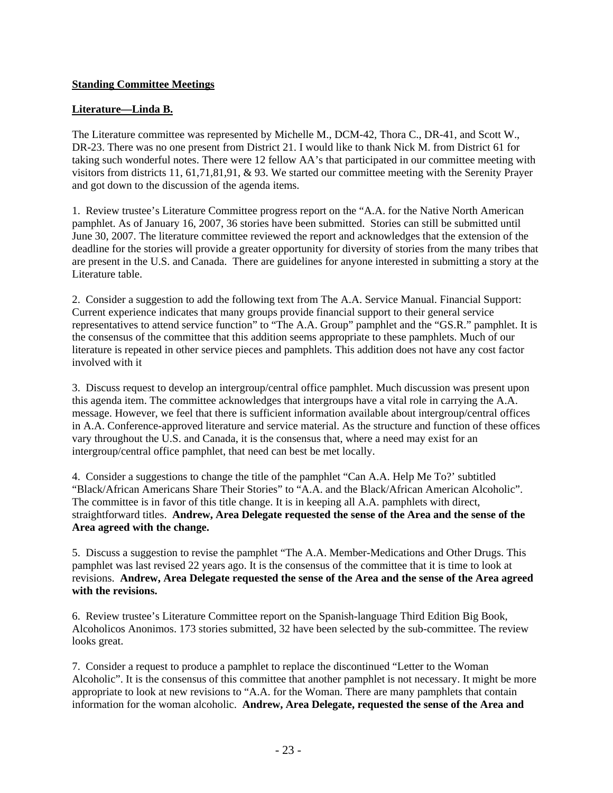# **Standing Committee Meetings**

# **Literature—Linda B.**

The Literature committee was represented by Michelle M., DCM-42, Thora C., DR-41, and Scott W., DR-23. There was no one present from District 21. I would like to thank Nick M. from District 61 for taking such wonderful notes. There were 12 fellow AA's that participated in our committee meeting with visitors from districts 11, 61,71,81,91, & 93. We started our committee meeting with the Serenity Prayer and got down to the discussion of the agenda items.

1. Review trustee's Literature Committee progress report on the "A.A. for the Native North American pamphlet. As of January 16, 2007, 36 stories have been submitted. Stories can still be submitted until June 30, 2007. The literature committee reviewed the report and acknowledges that the extension of the deadline for the stories will provide a greater opportunity for diversity of stories from the many tribes that are present in the U.S. and Canada. There are guidelines for anyone interested in submitting a story at the Literature table.

2. Consider a suggestion to add the following text from The A.A. Service Manual. Financial Support: Current experience indicates that many groups provide financial support to their general service representatives to attend service function" to "The A.A. Group" pamphlet and the "GS.R." pamphlet. It is the consensus of the committee that this addition seems appropriate to these pamphlets. Much of our literature is repeated in other service pieces and pamphlets. This addition does not have any cost factor involved with it

3. Discuss request to develop an intergroup/central office pamphlet. Much discussion was present upon this agenda item. The committee acknowledges that intergroups have a vital role in carrying the A.A. message. However, we feel that there is sufficient information available about intergroup/central offices in A.A. Conference-approved literature and service material. As the structure and function of these offices vary throughout the U.S. and Canada, it is the consensus that, where a need may exist for an intergroup/central office pamphlet, that need can best be met locally.

4. Consider a suggestions to change the title of the pamphlet "Can A.A. Help Me To?' subtitled "Black/African Americans Share Their Stories" to "A.A. and the Black/African American Alcoholic". The committee is in favor of this title change. It is in keeping all A.A. pamphlets with direct, straightforward titles. **Andrew, Area Delegate requested the sense of the Area and the sense of the Area agreed with the change.** 

5. Discuss a suggestion to revise the pamphlet "The A.A. Member-Medications and Other Drugs. This pamphlet was last revised 22 years ago. It is the consensus of the committee that it is time to look at revisions. **Andrew, Area Delegate requested the sense of the Area and the sense of the Area agreed with the revisions.** 

6. Review trustee's Literature Committee report on the Spanish-language Third Edition Big Book, Alcoholicos Anonimos. 173 stories submitted, 32 have been selected by the sub-committee. The review looks great.

7. Consider a request to produce a pamphlet to replace the discontinued "Letter to the Woman Alcoholic". It is the consensus of this committee that another pamphlet is not necessary. It might be more appropriate to look at new revisions to "A.A. for the Woman. There are many pamphlets that contain information for the woman alcoholic. **Andrew, Area Delegate, requested the sense of the Area and**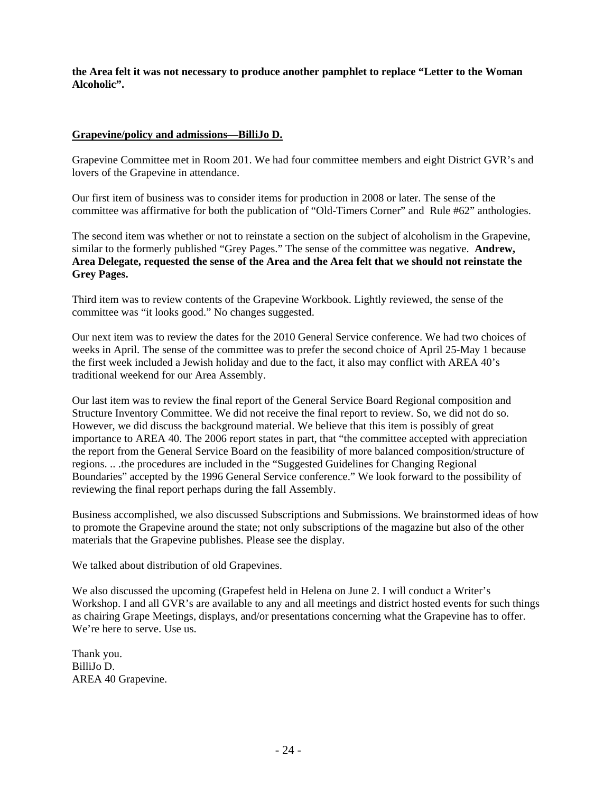**the Area felt it was not necessary to produce another pamphlet to replace "Letter to the Woman Alcoholic".** 

## **Grapevine/policy and admissions—BilliJo D.**

Grapevine Committee met in Room 201. We had four committee members and eight District GVR's and lovers of the Grapevine in attendance.

Our first item of business was to consider items for production in 2008 or later. The sense of the committee was affirmative for both the publication of "Old-Timers Corner" and Rule #62" anthologies.

The second item was whether or not to reinstate a section on the subject of alcoholism in the Grapevine, similar to the formerly published "Grey Pages." The sense of the committee was negative. **Andrew, Area Delegate, requested the sense of the Area and the Area felt that we should not reinstate the Grey Pages.** 

Third item was to review contents of the Grapevine Workbook. Lightly reviewed, the sense of the committee was "it looks good." No changes suggested.

Our next item was to review the dates for the 2010 General Service conference. We had two choices of weeks in April. The sense of the committee was to prefer the second choice of April 25-May 1 because the first week included a Jewish holiday and due to the fact, it also may conflict with AREA 40's traditional weekend for our Area Assembly.

Our last item was to review the final report of the General Service Board Regional composition and Structure Inventory Committee. We did not receive the final report to review. So, we did not do so. However, we did discuss the background material. We believe that this item is possibly of great importance to AREA 40. The 2006 report states in part, that "the committee accepted with appreciation the report from the General Service Board on the feasibility of more balanced composition/structure of regions. .. .the procedures are included in the "Suggested Guidelines for Changing Regional Boundaries" accepted by the 1996 General Service conference." We look forward to the possibility of reviewing the final report perhaps during the fall Assembly.

Business accomplished, we also discussed Subscriptions and Submissions. We brainstormed ideas of how to promote the Grapevine around the state; not only subscriptions of the magazine but also of the other materials that the Grapevine publishes. Please see the display.

We talked about distribution of old Grapevines.

We also discussed the upcoming (Grapefest held in Helena on June 2. I will conduct a Writer's Workshop. I and all GVR's are available to any and all meetings and district hosted events for such things as chairing Grape Meetings, displays, and/or presentations concerning what the Grapevine has to offer. We're here to serve. Use us.

Thank you. BilliJo D. AREA 40 Grapevine.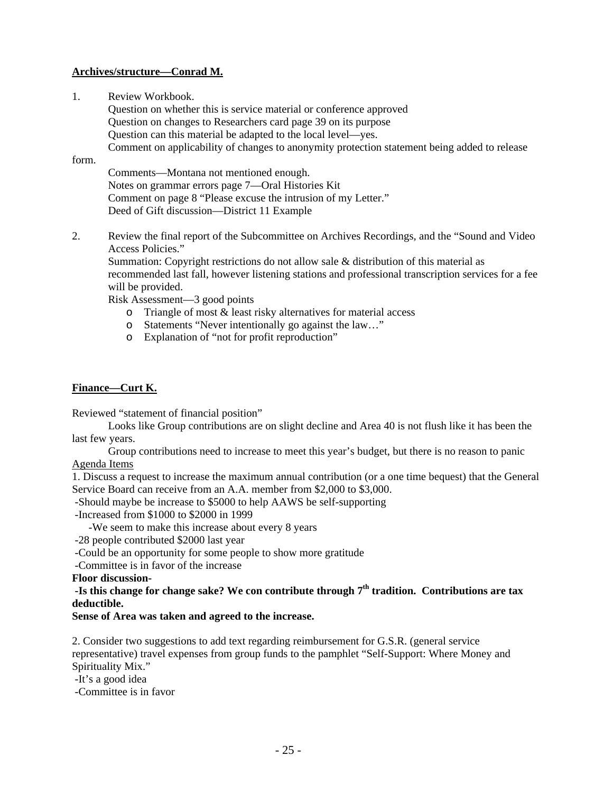# **Archives/structure—Conrad M.**

1. Review Workbook.

 Question on whether this is service material or conference approved Question on changes to Researchers card page 39 on its purpose Question can this material be adapted to the local level—yes. Comment on applicability of changes to anonymity protection statement being added to release

# form.

 Comments—Montana not mentioned enough. Notes on grammar errors page 7—Oral Histories Kit Comment on page 8 "Please excuse the intrusion of my Letter." Deed of Gift discussion—District 11 Example

2. Review the final report of the Subcommittee on Archives Recordings, and the "Sound and Video Access Policies."

Summation: Copyright restrictions do not allow sale & distribution of this material as recommended last fall, however listening stations and professional transcription services for a fee will be provided.

Risk Assessment—3 good points

- o Triangle of most & least risky alternatives for material access
- o Statements "Never intentionally go against the law…"
- o Explanation of "not for profit reproduction"

# **Finance—Curt K.**

Reviewed "statement of financial position"

 Looks like Group contributions are on slight decline and Area 40 is not flush like it has been the last few years.

Group contributions need to increase to meet this year's budget, but there is no reason to panic

## Agenda Items

1. Discuss a request to increase the maximum annual contribution (or a one time bequest) that the General Service Board can receive from an A.A. member from \$2,000 to \$3,000.

-Should maybe be increase to \$5000 to help AAWS be self-supporting

-Increased from \$1000 to \$2000 in 1999

-We seem to make this increase about every 8 years

-28 people contributed \$2000 last year

-Could be an opportunity for some people to show more gratitude

-Committee is in favor of the increase

**Floor discussion-** 

 **-Is this change for change sake? We con contribute through 7th tradition. Contributions are tax deductible.** 

# **Sense of Area was taken and agreed to the increase.**

2. Consider two suggestions to add text regarding reimbursement for G.S.R. (general service representative) travel expenses from group funds to the pamphlet "Self-Support: Where Money and Spirituality Mix."

-It's a good idea

-Committee is in favor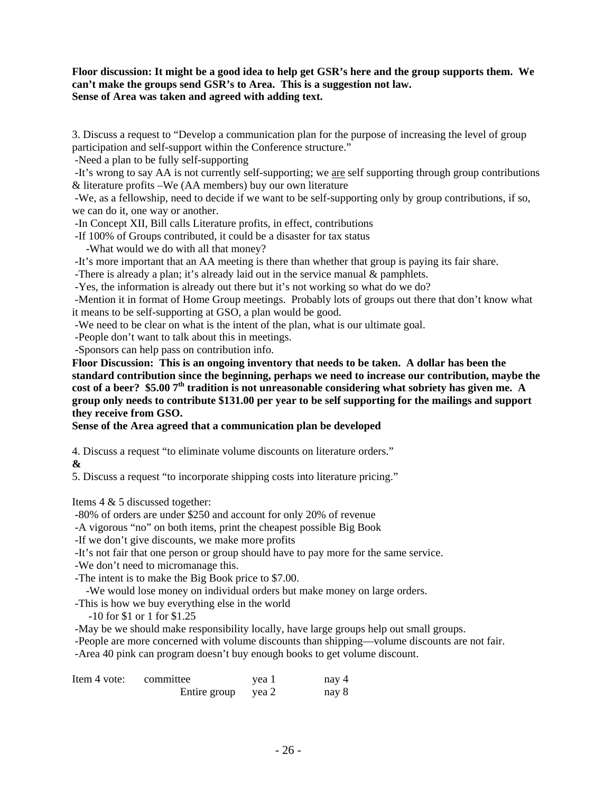# **Floor discussion: It might be a good idea to help get GSR's here and the group supports them. We can't make the groups send GSR's to Area. This is a suggestion not law. Sense of Area was taken and agreed with adding text.**

3. Discuss a request to "Develop a communication plan for the purpose of increasing the level of group participation and self-support within the Conference structure."

-Need a plan to be fully self-supporting

 -It's wrong to say AA is not currently self-supporting; we are self supporting through group contributions & literature profits –We (AA members) buy our own literature

 -We, as a fellowship, need to decide if we want to be self-supporting only by group contributions, if so, we can do it, one way or another.

-In Concept XII, Bill calls Literature profits, in effect, contributions

-If 100% of Groups contributed, it could be a disaster for tax status

-What would we do with all that money?

-It's more important that an AA meeting is there than whether that group is paying its fair share.

-There is already a plan; it's already laid out in the service manual & pamphlets.

-Yes, the information is already out there but it's not working so what do we do?

 -Mention it in format of Home Group meetings. Probably lots of groups out there that don't know what it means to be self-supporting at GSO, a plan would be good.

-We need to be clear on what is the intent of the plan, what is our ultimate goal.

-People don't want to talk about this in meetings.

-Sponsors can help pass on contribution info.

**Floor Discussion: This is an ongoing inventory that needs to be taken. A dollar has been the standard contribution since the beginning, perhaps we need to increase our contribution, maybe the**  cost of a beer? \$5.00 7<sup>th</sup> tradition is not unreasonable considering what sobriety has given me. A **group only needs to contribute \$131.00 per year to be self supporting for the mailings and support they receive from GSO.** 

**Sense of the Area agreed that a communication plan be developed** 

4. Discuss a request "to eliminate volume discounts on literature orders."

**&** 

5. Discuss a request "to incorporate shipping costs into literature pricing."

Items 4 & 5 discussed together:

-80% of orders are under \$250 and account for only 20% of revenue

-A vigorous "no" on both items, print the cheapest possible Big Book

-If we don't give discounts, we make more profits

-It's not fair that one person or group should have to pay more for the same service.

-We don't need to micromanage this.

-The intent is to make the Big Book price to \$7.00.

-We would lose money on individual orders but make money on large orders.

-This is how we buy everything else in the world

-10 for \$1 or 1 for \$1.25

-May be we should make responsibility locally, have large groups help out small groups.

 -People are more concerned with volume discounts than shipping—volume discounts are not fair. -Area 40 pink can program doesn't buy enough books to get volume discount.

| Item 4 vote: | committee          | yea 1 | nay 4 |
|--------------|--------------------|-------|-------|
|              | Entire group yea 2 |       | nay 8 |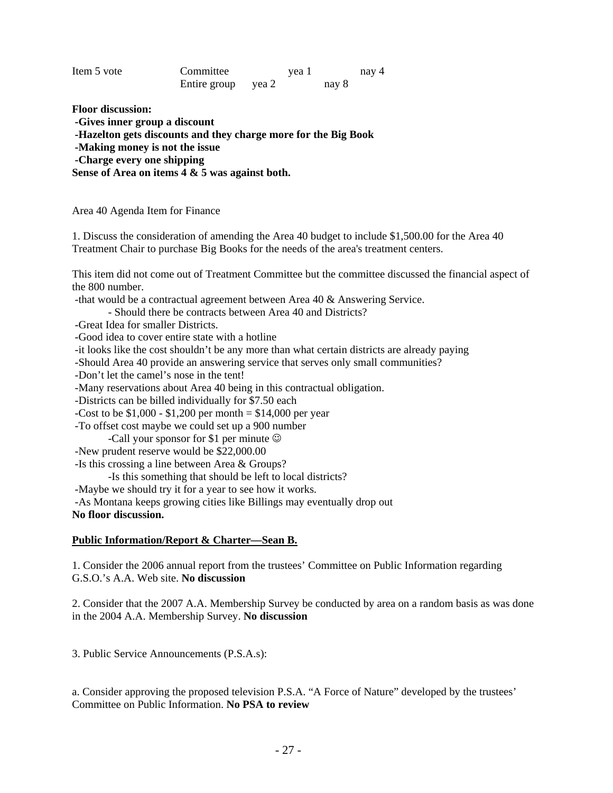| Item 5 vote | Committee    | yea 1 |       | nay 4 |
|-------------|--------------|-------|-------|-------|
|             | Entire group | vea 2 | nay 8 |       |

**Floor discussion:** 

 **-Gives inner group a discount** 

 **-Hazelton gets discounts and they charge more for the Big Book** 

 **-Making money is not the issue** 

 **-Charge every one shipping** 

**Sense of Area on items 4 & 5 was against both.** 

Area 40 Agenda Item for Finance

1. Discuss the consideration of amending the Area 40 budget to include \$1,500.00 for the Area 40 Treatment Chair to purchase Big Books for the needs of the area's treatment centers.

This item did not come out of Treatment Committee but the committee discussed the financial aspect of the 800 number.

-that would be a contractual agreement between Area 40 & Answering Service.

- Should there be contracts between Area 40 and Districts?

-Great Idea for smaller Districts.

-Good idea to cover entire state with a hotline

-it looks like the cost shouldn't be any more than what certain districts are already paying

-Should Area 40 provide an answering service that serves only small communities?

-Don't let the camel's nose in the tent!

-Many reservations about Area 40 being in this contractual obligation.

-Districts can be billed individually for \$7.50 each

-Cost to be  $$1,000 - $1,200$  per month =  $$14,000$  per year

-To offset cost maybe we could set up a 900 number

-Call your sponsor for \$1 per minute  $\odot$ 

-New prudent reserve would be \$22,000.00

-Is this crossing a line between Area & Groups?

-Is this something that should be left to local districts?

-Maybe we should try it for a year to see how it works.

-As Montana keeps growing cities like Billings may eventually drop out

#### **No floor discussion.**

## **Public Information/Report & Charter—Sean B.**

1. Consider the 2006 annual report from the trustees' Committee on Public Information regarding G.S.O.'s A.A. Web site. **No discussion** 

2. Consider that the 2007 A.A. Membership Survey be conducted by area on a random basis as was done in the 2004 A.A. Membership Survey. **No discussion** 

3. Public Service Announcements (P.S.A.s):

a. Consider approving the proposed television P.S.A. "A Force of Nature" developed by the trustees' Committee on Public Information. **No PSA to review**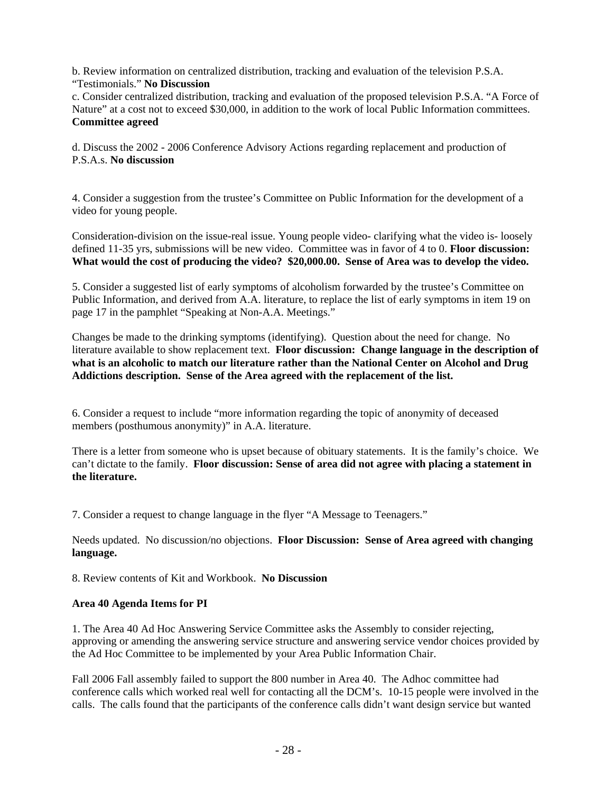b. Review information on centralized distribution, tracking and evaluation of the television P.S.A. "Testimonials." **No Discussion**

c. Consider centralized distribution, tracking and evaluation of the proposed television P.S.A. "A Force of Nature" at a cost not to exceed \$30,000, in addition to the work of local Public Information committees. **Committee agreed** 

d. Discuss the 2002 - 2006 Conference Advisory Actions regarding replacement and production of P.S.A.s. **No discussion** 

4. Consider a suggestion from the trustee's Committee on Public Information for the development of a video for young people.

Consideration-division on the issue-real issue. Young people video- clarifying what the video is- loosely defined 11-35 yrs, submissions will be new video. Committee was in favor of 4 to 0. **Floor discussion: What would the cost of producing the video? \$20,000.00. Sense of Area was to develop the video.** 

5. Consider a suggested list of early symptoms of alcoholism forwarded by the trustee's Committee on Public Information, and derived from A.A. literature, to replace the list of early symptoms in item 19 on page 17 in the pamphlet "Speaking at Non-A.A. Meetings."

Changes be made to the drinking symptoms (identifying). Question about the need for change. No literature available to show replacement text. **Floor discussion: Change language in the description of what is an alcoholic to match our literature rather than the National Center on Alcohol and Drug Addictions description. Sense of the Area agreed with the replacement of the list.** 

6. Consider a request to include "more information regarding the topic of anonymity of deceased members (posthumous anonymity)" in A.A. literature.

There is a letter from someone who is upset because of obituary statements. It is the family's choice. We can't dictate to the family. **Floor discussion: Sense of area did not agree with placing a statement in the literature.** 

7. Consider a request to change language in the flyer "A Message to Teenagers."

Needs updated. No discussion/no objections. **Floor Discussion: Sense of Area agreed with changing language.** 

8. Review contents of Kit and Workbook. **No Discussion** 

## **Area 40 Agenda Items for PI**

1. The Area 40 Ad Hoc Answering Service Committee asks the Assembly to consider rejecting, approving or amending the answering service structure and answering service vendor choices provided by the Ad Hoc Committee to be implemented by your Area Public Information Chair.

Fall 2006 Fall assembly failed to support the 800 number in Area 40. The Adhoc committee had conference calls which worked real well for contacting all the DCM's. 10-15 people were involved in the calls. The calls found that the participants of the conference calls didn't want design service but wanted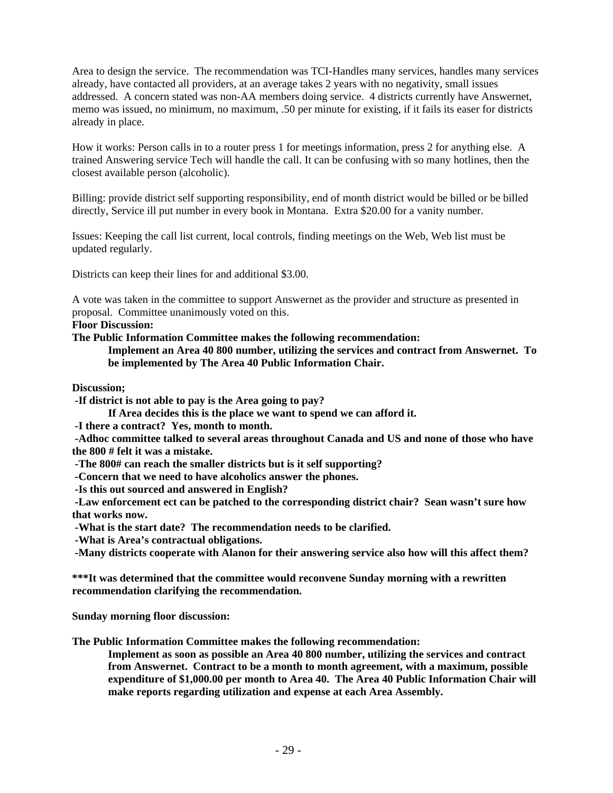Area to design the service. The recommendation was TCI-Handles many services, handles many services already, have contacted all providers, at an average takes 2 years with no negativity, small issues addressed. A concern stated was non-AA members doing service. 4 districts currently have Answernet, memo was issued, no minimum, no maximum, .50 per minute for existing, if it fails its easer for districts already in place.

How it works: Person calls in to a router press 1 for meetings information, press 2 for anything else. A trained Answering service Tech will handle the call. It can be confusing with so many hotlines, then the closest available person (alcoholic).

Billing: provide district self supporting responsibility, end of month district would be billed or be billed directly, Service ill put number in every book in Montana. Extra \$20.00 for a vanity number.

Issues: Keeping the call list current, local controls, finding meetings on the Web, Web list must be updated regularly.

Districts can keep their lines for and additional \$3.00.

A vote was taken in the committee to support Answernet as the provider and structure as presented in proposal. Committee unanimously voted on this.

**Floor Discussion:** 

**The Public Information Committee makes the following recommendation:** 

**Implement an Area 40 800 number, utilizing the services and contract from Answernet. To be implemented by The Area 40 Public Information Chair.** 

**Discussion;** 

 **-If district is not able to pay is the Area going to pay?** 

 **If Area decides this is the place we want to spend we can afford it.** 

 **-I there a contract? Yes, month to month.** 

 **-Adhoc committee talked to several areas throughout Canada and US and none of those who have the 800 # felt it was a mistake.** 

 **-The 800# can reach the smaller districts but is it self supporting?** 

 **-Concern that we need to have alcoholics answer the phones.** 

 **-Is this out sourced and answered in English?** 

 **-Law enforcement ect can be patched to the corresponding district chair? Sean wasn't sure how that works now.** 

 **-What is the start date? The recommendation needs to be clarified.** 

 **-What is Area's contractual obligations.** 

 **-Many districts cooperate with Alanon for their answering service also how will this affect them?** 

**\*\*\*It was determined that the committee would reconvene Sunday morning with a rewritten recommendation clarifying the recommendation.** 

**Sunday morning floor discussion:** 

**The Public Information Committee makes the following recommendation:** 

**Implement as soon as possible an Area 40 800 number, utilizing the services and contract from Answernet. Contract to be a month to month agreement, with a maximum, possible expenditure of \$1,000.00 per month to Area 40. The Area 40 Public Information Chair will make reports regarding utilization and expense at each Area Assembly.**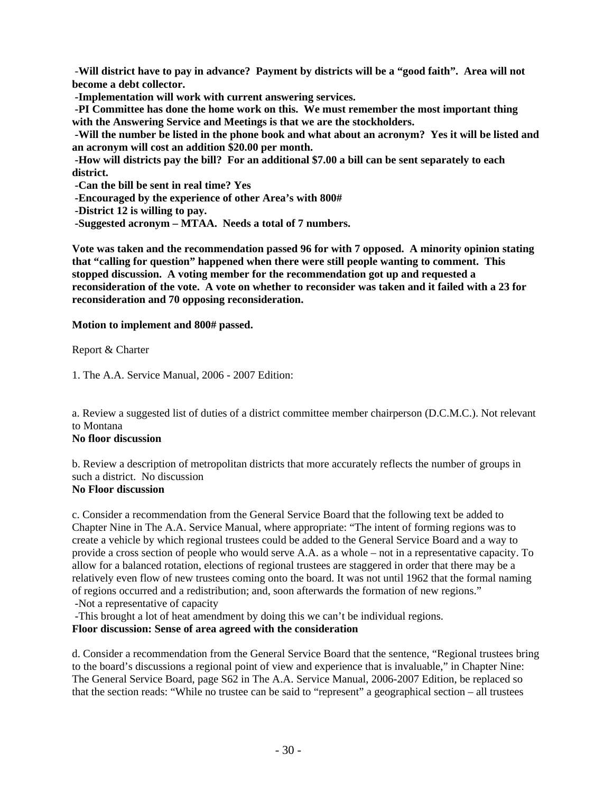-**Will district have to pay in advance? Payment by districts will be a "good faith". Area will not become a debt collector.** 

 **-Implementation will work with current answering services.** 

 **-PI Committee has done the home work on this. We must remember the most important thing with the Answering Service and Meetings is that we are the stockholders.** 

 **-Will the number be listed in the phone book and what about an acronym? Yes it will be listed and an acronym will cost an addition \$20.00 per month.** 

 **-How will districts pay the bill? For an additional \$7.00 a bill can be sent separately to each district.** 

 **-Can the bill be sent in real time? Yes** 

 **-Encouraged by the experience of other Area's with 800#** 

 **-District 12 is willing to pay.** 

 **-Suggested acronym – MTAA. Needs a total of 7 numbers.** 

**Vote was taken and the recommendation passed 96 for with 7 opposed. A minority opinion stating that "calling for question" happened when there were still people wanting to comment. This stopped discussion. A voting member for the recommendation got up and requested a reconsideration of the vote. A vote on whether to reconsider was taken and it failed with a 23 for reconsideration and 70 opposing reconsideration.** 

**Motion to implement and 800# passed.** 

Report & Charter

1. The A.A. Service Manual, 2006 - 2007 Edition:

a. Review a suggested list of duties of a district committee member chairperson (D.C.M.C.). Not relevant to Montana

# **No floor discussion**

b. Review a description of metropolitan districts that more accurately reflects the number of groups in such a district. No discussion

# **No Floor discussion**

c. Consider a recommendation from the General Service Board that the following text be added to Chapter Nine in The A.A. Service Manual, where appropriate: "The intent of forming regions was to create a vehicle by which regional trustees could be added to the General Service Board and a way to provide a cross section of people who would serve A.A. as a whole – not in a representative capacity. To allow for a balanced rotation, elections of regional trustees are staggered in order that there may be a relatively even flow of new trustees coming onto the board. It was not until 1962 that the formal naming of regions occurred and a redistribution; and, soon afterwards the formation of new regions."

-Not a representative of capacity

-This brought a lot of heat amendment by doing this we can't be individual regions.

**Floor discussion: Sense of area agreed with the consideration** 

d. Consider a recommendation from the General Service Board that the sentence, "Regional trustees bring to the board's discussions a regional point of view and experience that is invaluable," in Chapter Nine: The General Service Board, page S62 in The A.A. Service Manual, 2006-2007 Edition, be replaced so that the section reads: "While no trustee can be said to "represent" a geographical section – all trustees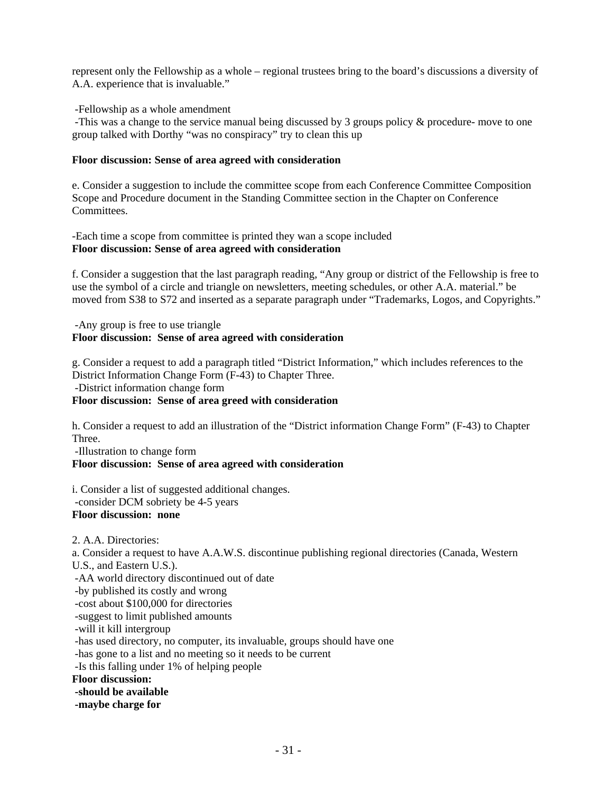represent only the Fellowship as a whole – regional trustees bring to the board's discussions a diversity of A.A. experience that is invaluable."

-Fellowship as a whole amendment

 -This was a change to the service manual being discussed by 3 groups policy & procedure- move to one group talked with Dorthy "was no conspiracy" try to clean this up

# **Floor discussion: Sense of area agreed with consideration**

e. Consider a suggestion to include the committee scope from each Conference Committee Composition Scope and Procedure document in the Standing Committee section in the Chapter on Conference Committees.

-Each time a scope from committee is printed they wan a scope included **Floor discussion: Sense of area agreed with consideration** 

f. Consider a suggestion that the last paragraph reading, "Any group or district of the Fellowship is free to use the symbol of a circle and triangle on newsletters, meeting schedules, or other A.A. material." be moved from S38 to S72 and inserted as a separate paragraph under "Trademarks, Logos, and Copyrights."

#### -Any group is free to use triangle **Floor discussion: Sense of area agreed with consideration**

g. Consider a request to add a paragraph titled "District Information," which includes references to the District Information Change Form (F-43) to Chapter Three. -District information change form

# **Floor discussion: Sense of area greed with consideration**

h. Consider a request to add an illustration of the "District information Change Form" (F-43) to Chapter Three.

-Illustration to change form

## **Floor discussion: Sense of area agreed with consideration**

i. Consider a list of suggested additional changes. -consider DCM sobriety be 4-5 years **Floor discussion: none** 

2. A.A. Directories: a. Consider a request to have A.A.W.S. discontinue publishing regional directories (Canada, Western U.S., and Eastern U.S.). -AA world directory discontinued out of date -by published its costly and wrong -cost about \$100,000 for directories -suggest to limit published amounts -will it kill intergroup -has used directory, no computer, its invaluable, groups should have one -has gone to a list and no meeting so it needs to be current -Is this falling under 1% of helping people **Floor discussion: -should be available -maybe charge for**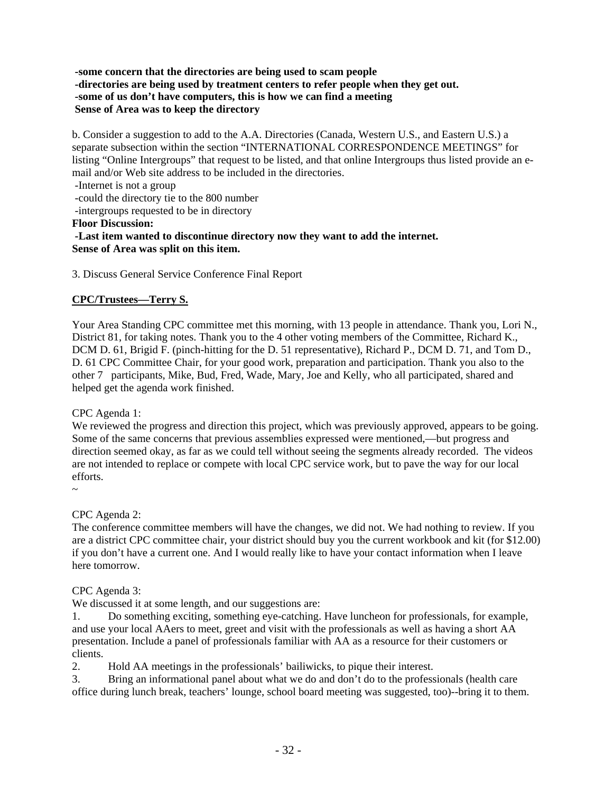## **-some concern that the directories are being used to scam people -directories are being used by treatment centers to refer people when they get out. -some of us don't have computers, this is how we can find a meeting Sense of Area was to keep the directory**

b. Consider a suggestion to add to the A.A. Directories (Canada, Western U.S., and Eastern U.S.) a separate subsection within the section "INTERNATIONAL CORRESPONDENCE MEETINGS" for listing "Online Intergroups" that request to be listed, and that online Intergroups thus listed provide an email and/or Web site address to be included in the directories.

-Internet is not a group

-could the directory tie to the 800 number

-intergroups requested to be in directory

#### **Floor Discussion:**

 **-Last item wanted to discontinue directory now they want to add the internet. Sense of Area was split on this item.** 

3. Discuss General Service Conference Final Report

# **CPC/Trustees—Terry S.**

Your Area Standing CPC committee met this morning, with 13 people in attendance. Thank you, Lori N., District 81, for taking notes. Thank you to the 4 other voting members of the Committee, Richard K., DCM D. 61, Brigid F. (pinch-hitting for the D. 51 representative), Richard P., DCM D. 71, and Tom D., D. 61 CPC Committee Chair, for your good work, preparation and participation. Thank you also to the other 7 participants, Mike, Bud, Fred, Wade, Mary, Joe and Kelly, who all participated, shared and helped get the agenda work finished.

## CPC Agenda 1:

We reviewed the progress and direction this project, which was previously approved, appears to be going. Some of the same concerns that previous assemblies expressed were mentioned,—but progress and direction seemed okay, as far as we could tell without seeing the segments already recorded. The videos are not intended to replace or compete with local CPC service work, but to pave the way for our local efforts.

CPC Agenda 2:

The conference committee members will have the changes, we did not. We had nothing to review. If you are a district CPC committee chair, your district should buy you the current workbook and kit (for \$12.00) if you don't have a current one. And I would really like to have your contact information when I leave here tomorrow.

## CPC Agenda 3:

We discussed it at some length, and our suggestions are:

1. Do something exciting, something eye-catching. Have luncheon for professionals, for example, and use your local AAers to meet, greet and visit with the professionals as well as having a short AA presentation. Include a panel of professionals familiar with AA as a resource for their customers or clients.

2. Hold AA meetings in the professionals' bailiwicks, to pique their interest.

3. Bring an informational panel about what we do and don't do to the professionals (health care office during lunch break, teachers' lounge, school board meeting was suggested, too)--bring it to them.

<sup>~</sup>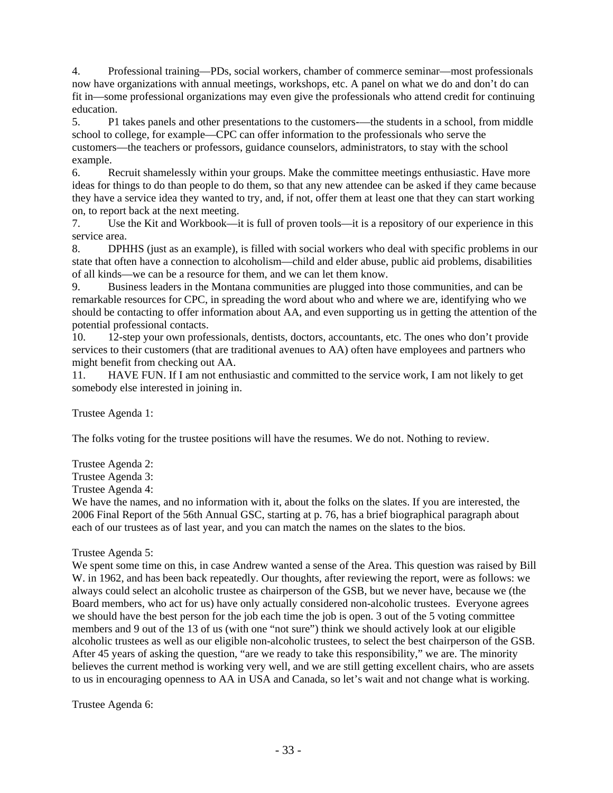4. Professional training—PDs, social workers, chamber of commerce seminar—most professionals now have organizations with annual meetings, workshops, etc. A panel on what we do and don't do can fit in—some professional organizations may even give the professionals who attend credit for continuing education.

5. P1 takes panels and other presentations to the customers-—the students in a school, from middle school to college, for example—CPC can offer information to the professionals who serve the customers—the teachers or professors, guidance counselors, administrators, to stay with the school example.

6. Recruit shamelessly within your groups. Make the committee meetings enthusiastic. Have more ideas for things to do than people to do them, so that any new attendee can be asked if they came because they have a service idea they wanted to try, and, if not, offer them at least one that they can start working on, to report back at the next meeting.

7. Use the Kit and Workbook—it is full of proven tools—it is a repository of our experience in this service area.

8. DPHHS (just as an example), is filled with social workers who deal with specific problems in our state that often have a connection to alcoholism—child and elder abuse, public aid problems, disabilities of all kinds—we can be a resource for them, and we can let them know.

9. Business leaders in the Montana communities are plugged into those communities, and can be remarkable resources for CPC, in spreading the word about who and where we are, identifying who we should be contacting to offer information about AA, and even supporting us in getting the attention of the potential professional contacts.

10. 12-step your own professionals, dentists, doctors, accountants, etc. The ones who don't provide services to their customers (that are traditional avenues to AA) often have employees and partners who might benefit from checking out AA.

11. HAVE FUN. If I am not enthusiastic and committed to the service work, I am not likely to get somebody else interested in joining in.

Trustee Agenda 1:

The folks voting for the trustee positions will have the resumes. We do not. Nothing to review.

Trustee Agenda 2:

Trustee Agenda 3:

Trustee Agenda 4:

We have the names, and no information with it, about the folks on the slates. If you are interested, the 2006 Final Report of the 56th Annual GSC, starting at p. 76, has a brief biographical paragraph about each of our trustees as of last year, and you can match the names on the slates to the bios.

## Trustee Agenda 5:

We spent some time on this, in case Andrew wanted a sense of the Area. This question was raised by Bill W. in 1962, and has been back repeatedly. Our thoughts, after reviewing the report, were as follows: we always could select an alcoholic trustee as chairperson of the GSB, but we never have, because we (the Board members, who act for us) have only actually considered non-alcoholic trustees. Everyone agrees we should have the best person for the job each time the job is open. 3 out of the 5 voting committee members and 9 out of the 13 of us (with one "not sure") think we should actively look at our eligible alcoholic trustees as well as our eligible non-alcoholic trustees, to select the best chairperson of the GSB. After 45 years of asking the question, "are we ready to take this responsibility," we are. The minority believes the current method is working very well, and we are still getting excellent chairs, who are assets to us in encouraging openness to AA in USA and Canada, so let's wait and not change what is working.

Trustee Agenda 6: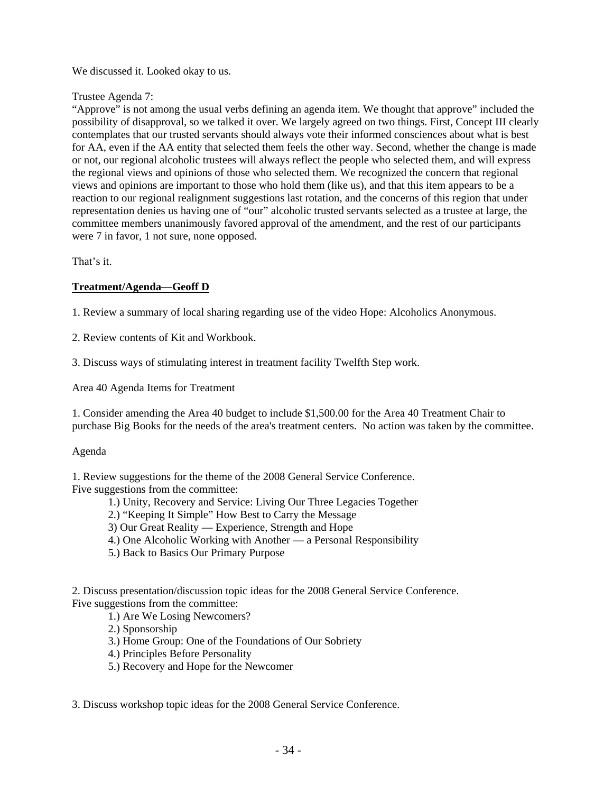# We discussed it. Looked okay to us.

## Trustee Agenda 7:

"Approve" is not among the usual verbs defining an agenda item. We thought that approve" included the possibility of disapproval, so we talked it over. We largely agreed on two things. First, Concept III clearly contemplates that our trusted servants should always vote their informed consciences about what is best for AA, even if the AA entity that selected them feels the other way. Second, whether the change is made or not, our regional alcoholic trustees will always reflect the people who selected them, and will express the regional views and opinions of those who selected them. We recognized the concern that regional views and opinions are important to those who hold them (like us), and that this item appears to be a reaction to our regional realignment suggestions last rotation, and the concerns of this region that under representation denies us having one of "our" alcoholic trusted servants selected as a trustee at large, the committee members unanimously favored approval of the amendment, and the rest of our participants were 7 in favor, 1 not sure, none opposed.

That's it.

# **Treatment/Agenda—Geoff D**

1. Review a summary of local sharing regarding use of the video Hope: Alcoholics Anonymous.

2. Review contents of Kit and Workbook.

3. Discuss ways of stimulating interest in treatment facility Twelfth Step work.

Area 40 Agenda Items for Treatment

1. Consider amending the Area 40 budget to include \$1,500.00 for the Area 40 Treatment Chair to purchase Big Books for the needs of the area's treatment centers. No action was taken by the committee.

## Agenda

1. Review suggestions for the theme of the 2008 General Service Conference. Five suggestions from the committee:

1.) Unity, Recovery and Service: Living Our Three Legacies Together

2.) "Keeping It Simple" How Best to Carry the Message

- 3) Our Great Reality Experience, Strength and Hope
- 4.) One Alcoholic Working with Another a Personal Responsibility
- 5.) Back to Basics Our Primary Purpose

2. Discuss presentation/discussion topic ideas for the 2008 General Service Conference. Five suggestions from the committee:

1.) Are We Losing Newcomers?

2.) Sponsorship

3.) Home Group: One of the Foundations of Our Sobriety

- 4.) Principles Before Personality
- 5.) Recovery and Hope for the Newcomer

3. Discuss workshop topic ideas for the 2008 General Service Conference.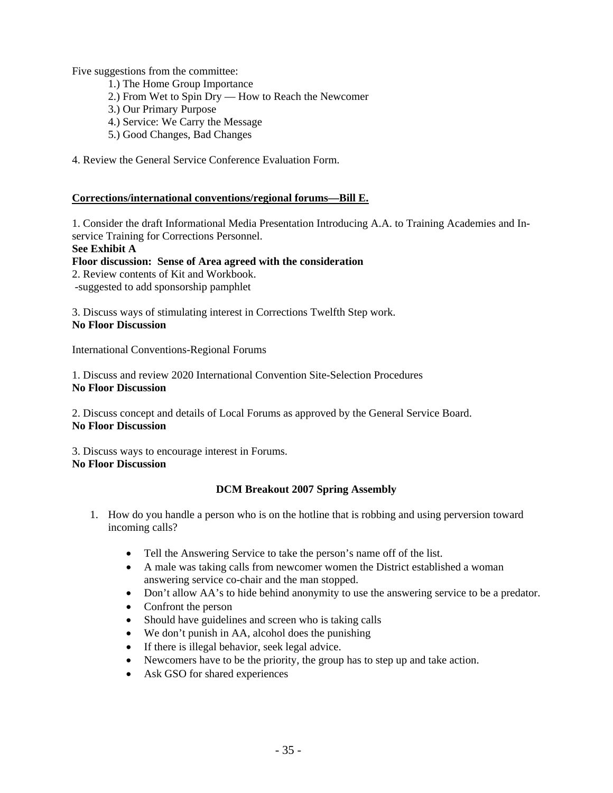Five suggestions from the committee:

- 1.) The Home Group Importance
- 2.) From Wet to Spin Dry How to Reach the Newcomer
- 3.) Our Primary Purpose
- 4.) Service: We Carry the Message
- 5.) Good Changes, Bad Changes
- 4. Review the General Service Conference Evaluation Form.

## **Corrections/international conventions/regional forums—Bill E.**

1. Consider the draft Informational Media Presentation Introducing A.A. to Training Academies and Inservice Training for Corrections Personnel.

## **See Exhibit A**

## **Floor discussion: Sense of Area agreed with the consideration**

2. Review contents of Kit and Workbook.

-suggested to add sponsorship pamphlet

3. Discuss ways of stimulating interest in Corrections Twelfth Step work. **No Floor Discussion** 

International Conventions-Regional Forums

1. Discuss and review 2020 International Convention Site-Selection Procedures **No Floor Discussion** 

2. Discuss concept and details of Local Forums as approved by the General Service Board. **No Floor Discussion** 

3. Discuss ways to encourage interest in Forums. **No Floor Discussion** 

## **DCM Breakout 2007 Spring Assembly**

- 1. How do you handle a person who is on the hotline that is robbing and using perversion toward incoming calls?
	- Tell the Answering Service to take the person's name off of the list.
	- A male was taking calls from newcomer women the District established a woman answering service co-chair and the man stopped.
	- Don't allow AA's to hide behind anonymity to use the answering service to be a predator.
	- Confront the person
	- Should have guidelines and screen who is taking calls
	- We don't punish in AA, alcohol does the punishing
	- If there is illegal behavior, seek legal advice.
	- Newcomers have to be the priority, the group has to step up and take action.
	- Ask GSO for shared experiences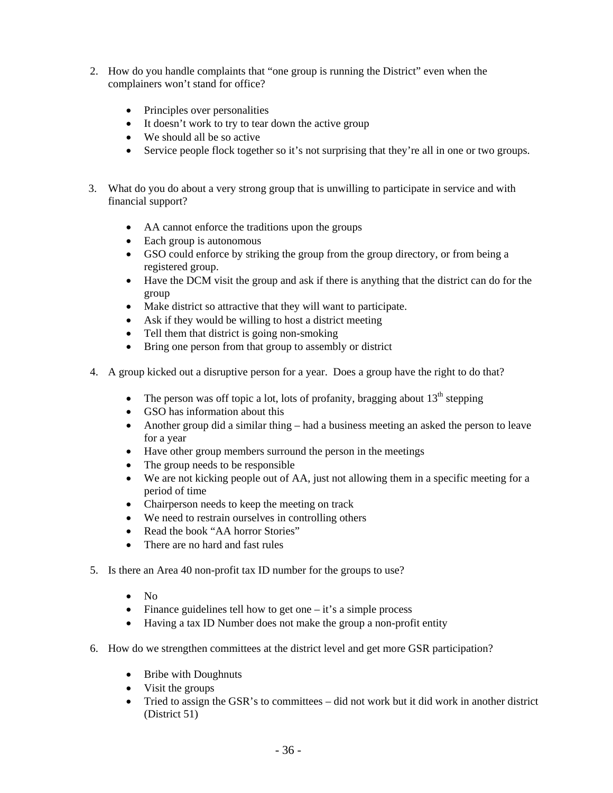- 2. How do you handle complaints that "one group is running the District" even when the complainers won't stand for office?
	- Principles over personalities
	- It doesn't work to try to tear down the active group
	- We should all be so active
	- Service people flock together so it's not surprising that they're all in one or two groups.
- 3. What do you do about a very strong group that is unwilling to participate in service and with financial support?
	- AA cannot enforce the traditions upon the groups
	- Each group is autonomous
	- GSO could enforce by striking the group from the group directory, or from being a registered group.
	- Have the DCM visit the group and ask if there is anything that the district can do for the group
	- Make district so attractive that they will want to participate.
	- Ask if they would be willing to host a district meeting
	- Tell them that district is going non-smoking
	- Bring one person from that group to assembly or district
- 4. A group kicked out a disruptive person for a year. Does a group have the right to do that?
	- The person was off topic a lot, lots of profanity, bragging about  $13<sup>th</sup>$  stepping
	- GSO has information about this
	- Another group did a similar thing had a business meeting an asked the person to leave for a year
	- Have other group members surround the person in the meetings
	- The group needs to be responsible
	- We are not kicking people out of AA, just not allowing them in a specific meeting for a period of time
	- Chairperson needs to keep the meeting on track
	- We need to restrain ourselves in controlling others
	- Read the book "AA horror Stories"
	- There are no hard and fast rules
- 5. Is there an Area 40 non-profit tax ID number for the groups to use?
	- No
	- Finance guidelines tell how to get one  $-$  it's a simple process
	- Having a tax ID Number does not make the group a non-profit entity
- 6. How do we strengthen committees at the district level and get more GSR participation?
	- Bribe with Doughnuts
	- Visit the groups
	- Tried to assign the GSR's to committees did not work but it did work in another district (District 51)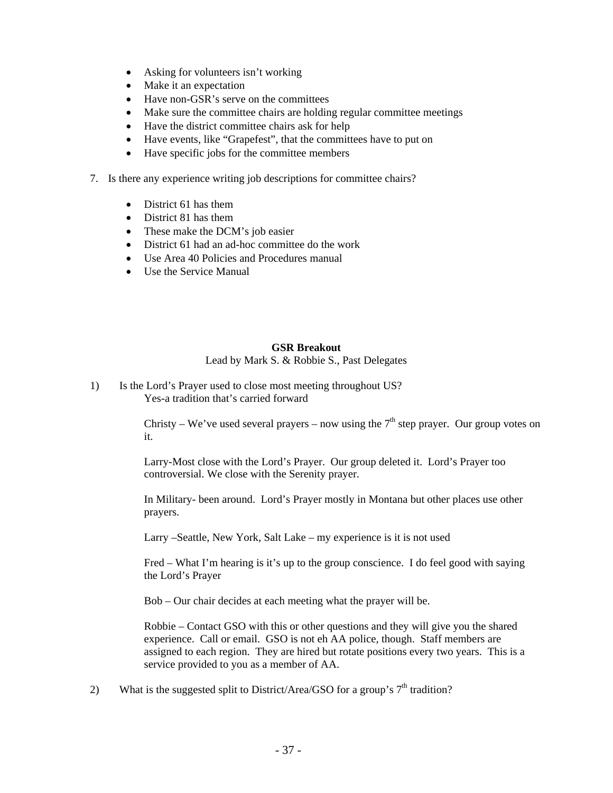- Asking for volunteers isn't working
- Make it an expectation
- Have non-GSR's serve on the committees
- Make sure the committee chairs are holding regular committee meetings
- Have the district committee chairs ask for help
- Have events, like "Grapefest", that the committees have to put on
- Have specific jobs for the committee members
- 7. Is there any experience writing job descriptions for committee chairs?
	- District 61 has them
	- District 81 has them
	- These make the DCM's job easier
	- District 61 had an ad-hoc committee do the work
	- Use Area 40 Policies and Procedures manual
	- Use the Service Manual

## **GSR Breakout**

Lead by Mark S. & Robbie S., Past Delegates

1) Is the Lord's Prayer used to close most meeting throughout US? Yes-a tradition that's carried forward

> Christy – We've used several prayers – now using the  $7<sup>th</sup>$  step prayer. Our group votes on it.

Larry-Most close with the Lord's Prayer. Our group deleted it. Lord's Prayer too controversial. We close with the Serenity prayer.

In Military- been around. Lord's Prayer mostly in Montana but other places use other prayers.

Larry –Seattle, New York, Salt Lake – my experience is it is not used

Fred – What I'm hearing is it's up to the group conscience. I do feel good with saying the Lord's Prayer

Bob – Our chair decides at each meeting what the prayer will be.

Robbie – Contact GSO with this or other questions and they will give you the shared experience. Call or email. GSO is not eh AA police, though. Staff members are assigned to each region. They are hired but rotate positions every two years. This is a service provided to you as a member of AA.

2) What is the suggested split to District/Area/GSO for a group's  $7<sup>th</sup>$  tradition?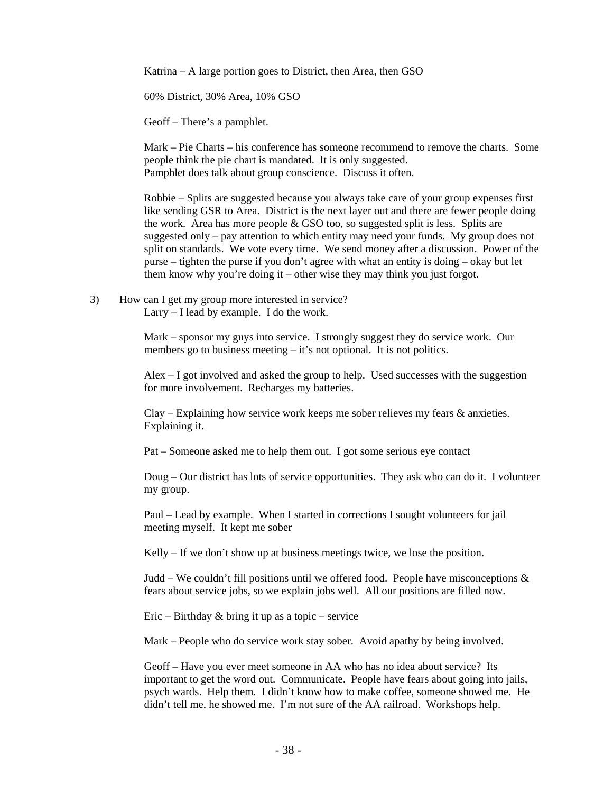Katrina – A large portion goes to District, then Area, then GSO

60% District, 30% Area, 10% GSO

Geoff – There's a pamphlet.

Mark – Pie Charts – his conference has someone recommend to remove the charts. Some people think the pie chart is mandated. It is only suggested. Pamphlet does talk about group conscience. Discuss it often.

Robbie – Splits are suggested because you always take care of your group expenses first like sending GSR to Area. District is the next layer out and there are fewer people doing the work. Area has more people & GSO too, so suggested split is less. Splits are suggested only – pay attention to which entity may need your funds. My group does not split on standards. We vote every time. We send money after a discussion. Power of the purse – tighten the purse if you don't agree with what an entity is doing – okay but let them know why you're doing it – other wise they may think you just forgot.

3) How can I get my group more interested in service? Larry – I lead by example. I do the work.

> Mark – sponsor my guys into service. I strongly suggest they do service work. Our members go to business meeting  $-$  it's not optional. It is not politics.

Alex – I got involved and asked the group to help. Used successes with the suggestion for more involvement. Recharges my batteries.

Clay – Explaining how service work keeps me sober relieves my fears & anxieties. Explaining it.

Pat – Someone asked me to help them out. I got some serious eye contact

Doug – Our district has lots of service opportunities. They ask who can do it. I volunteer my group.

Paul – Lead by example. When I started in corrections I sought volunteers for jail meeting myself. It kept me sober

Kelly – If we don't show up at business meetings twice, we lose the position.

Judd – We couldn't fill positions until we offered food. People have misconceptions  $\&$ fears about service jobs, so we explain jobs well. All our positions are filled now.

Eric – Birthday & bring it up as a topic – service

Mark – People who do service work stay sober. Avoid apathy by being involved.

Geoff – Have you ever meet someone in AA who has no idea about service? Its important to get the word out. Communicate. People have fears about going into jails, psych wards. Help them. I didn't know how to make coffee, someone showed me. He didn't tell me, he showed me. I'm not sure of the AA railroad. Workshops help.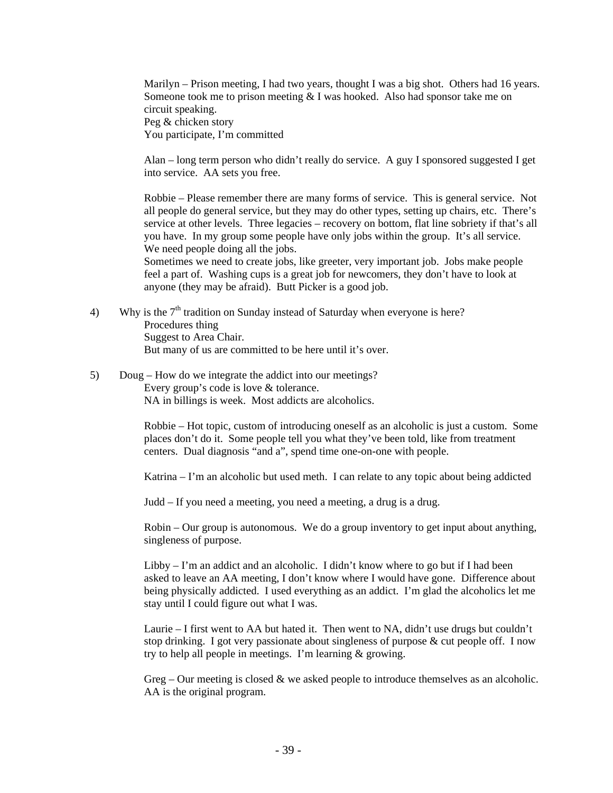Marilyn – Prison meeting, I had two years, thought I was a big shot. Others had 16 years. Someone took me to prison meeting  $&$  I was hooked. Also had sponsor take me on circuit speaking. Peg & chicken story You participate, I'm committed

Alan – long term person who didn't really do service. A guy I sponsored suggested I get into service. AA sets you free.

Robbie – Please remember there are many forms of service. This is general service. Not all people do general service, but they may do other types, setting up chairs, etc. There's service at other levels. Three legacies – recovery on bottom, flat line sobriety if that's all you have. In my group some people have only jobs within the group. It's all service. We need people doing all the jobs.

Sometimes we need to create jobs, like greeter, very important job. Jobs make people feel a part of. Washing cups is a great job for newcomers, they don't have to look at anyone (they may be afraid). Butt Picker is a good job.

- 4) Why is the  $7<sup>th</sup>$  tradition on Sunday instead of Saturday when everyone is here? Procedures thing Suggest to Area Chair. But many of us are committed to be here until it's over.
- 5) Doug How do we integrate the addict into our meetings? Every group's code is love & tolerance. NA in billings is week. Most addicts are alcoholics.

Robbie – Hot topic, custom of introducing oneself as an alcoholic is just a custom. Some places don't do it. Some people tell you what they've been told, like from treatment centers. Dual diagnosis "and a", spend time one-on-one with people.

Katrina – I'm an alcoholic but used meth. I can relate to any topic about being addicted

Judd – If you need a meeting, you need a meeting, a drug is a drug.

Robin – Our group is autonomous. We do a group inventory to get input about anything, singleness of purpose.

Libby  $-1$ 'm an addict and an alcoholic. I didn't know where to go but if I had been asked to leave an AA meeting, I don't know where I would have gone. Difference about being physically addicted. I used everything as an addict. I'm glad the alcoholics let me stay until I could figure out what I was.

Laurie – I first went to AA but hated it. Then went to NA, didn't use drugs but couldn't stop drinking. I got very passionate about singleness of purpose  $\&$  cut people off. I now try to help all people in meetings. I'm learning & growing.

Greg – Our meeting is closed  $\&$  we asked people to introduce themselves as an alcoholic. AA is the original program.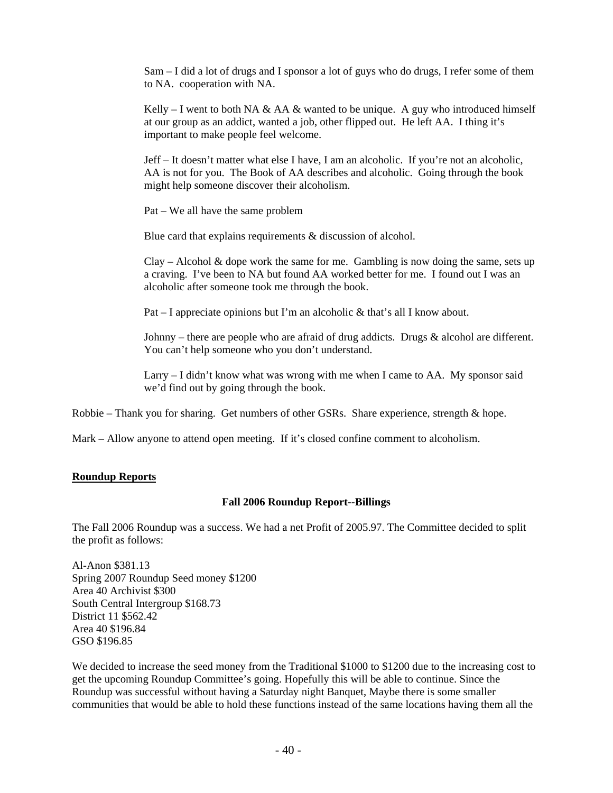Sam – I did a lot of drugs and I sponsor a lot of guys who do drugs, I refer some of them to NA. cooperation with NA.

Kelly – I went to both NA & AA & wanted to be unique. A guy who introduced himself at our group as an addict, wanted a job, other flipped out. He left AA. I thing it's important to make people feel welcome.

Jeff – It doesn't matter what else I have, I am an alcoholic. If you're not an alcoholic, AA is not for you. The Book of AA describes and alcoholic. Going through the book might help someone discover their alcoholism.

Pat – We all have the same problem

Blue card that explains requirements & discussion of alcohol.

 $C\text{lay} - \text{Alcohol} \& \text{dope work}$  the same for me. Gambling is now doing the same, sets up a craving. I've been to NA but found AA worked better for me. I found out I was an alcoholic after someone took me through the book.

Pat – I appreciate opinions but I'm an alcoholic & that's all I know about.

Johnny – there are people who are afraid of drug addicts. Drugs & alcohol are different. You can't help someone who you don't understand.

Larry – I didn't know what was wrong with me when I came to AA. My sponsor said we'd find out by going through the book.

Robbie – Thank you for sharing. Get numbers of other GSRs. Share experience, strength & hope.

Mark – Allow anyone to attend open meeting. If it's closed confine comment to alcoholism.

## **Roundup Reports**

#### **Fall 2006 Roundup Report--Billings**

The Fall 2006 Roundup was a success. We had a net Profit of 2005.97. The Committee decided to split the profit as follows:

Al-Anon \$381.13 Spring 2007 Roundup Seed money \$1200 Area 40 Archivist \$300 South Central Intergroup \$168.73 District 11 \$562.42 Area 40 \$196.84 GSO \$196.85

We decided to increase the seed money from the Traditional \$1000 to \$1200 due to the increasing cost to get the upcoming Roundup Committee's going. Hopefully this will be able to continue. Since the Roundup was successful without having a Saturday night Banquet, Maybe there is some smaller communities that would be able to hold these functions instead of the same locations having them all the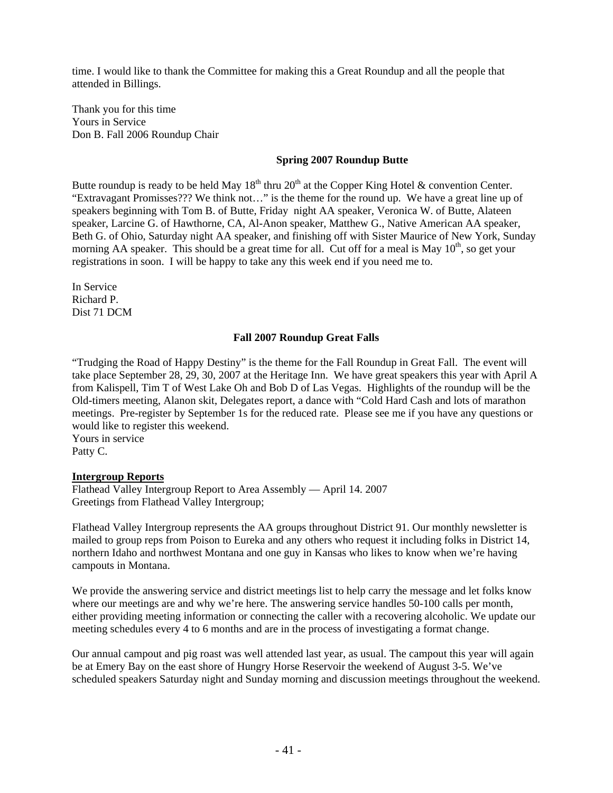time. I would like to thank the Committee for making this a Great Roundup and all the people that attended in Billings.

Thank you for this time Yours in Service Don B. Fall 2006 Roundup Chair

## **Spring 2007 Roundup Butte**

Butte roundup is ready to be held May  $18<sup>th</sup>$  thru  $20<sup>th</sup>$  at the Copper King Hotel & convention Center. "Extravagant Promisses??? We think not…" is the theme for the round up. We have a great line up of speakers beginning with Tom B. of Butte, Friday night AA speaker, Veronica W. of Butte, Alateen speaker, Larcine G. of Hawthorne, CA, Al-Anon speaker, Matthew G., Native American AA speaker, Beth G. of Ohio, Saturday night AA speaker, and finishing off with Sister Maurice of New York, Sunday morning AA speaker. This should be a great time for all. Cut off for a meal is May  $10^{th}$ , so get your registrations in soon. I will be happy to take any this week end if you need me to.

In Service Richard P. Dist 71 DCM

#### **Fall 2007 Roundup Great Falls**

"Trudging the Road of Happy Destiny" is the theme for the Fall Roundup in Great Fall. The event will take place September 28, 29, 30, 2007 at the Heritage Inn. We have great speakers this year with April A from Kalispell, Tim T of West Lake Oh and Bob D of Las Vegas. Highlights of the roundup will be the Old-timers meeting, Alanon skit, Delegates report, a dance with "Cold Hard Cash and lots of marathon meetings. Pre-register by September 1s for the reduced rate. Please see me if you have any questions or would like to register this weekend.

Yours in service Patty C.

#### **Intergroup Reports**

Flathead Valley Intergroup Report to Area Assembly — April 14. 2007 Greetings from Flathead Valley Intergroup;

Flathead Valley Intergroup represents the AA groups throughout District 91. Our monthly newsletter is mailed to group reps from Poison to Eureka and any others who request it including folks in District 14, northern Idaho and northwest Montana and one guy in Kansas who likes to know when we're having campouts in Montana.

We provide the answering service and district meetings list to help carry the message and let folks know where our meetings are and why we're here. The answering service handles 50-100 calls per month, either providing meeting information or connecting the caller with a recovering alcoholic. We update our meeting schedules every 4 to 6 months and are in the process of investigating a format change.

Our annual campout and pig roast was well attended last year, as usual. The campout this year will again be at Emery Bay on the east shore of Hungry Horse Reservoir the weekend of August 3-5. We've scheduled speakers Saturday night and Sunday morning and discussion meetings throughout the weekend.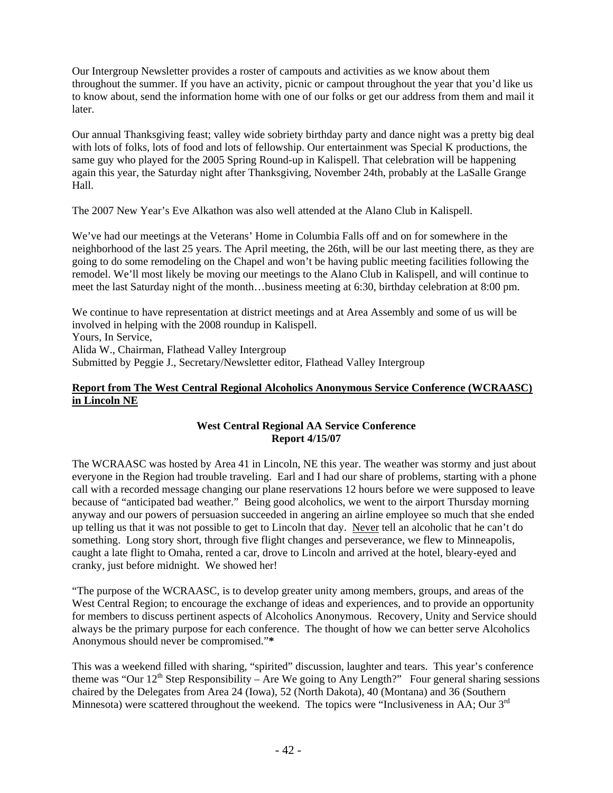Our Intergroup Newsletter provides a roster of campouts and activities as we know about them throughout the summer. If you have an activity, picnic or campout throughout the year that you'd like us to know about, send the information home with one of our folks or get our address from them and mail it later.

Our annual Thanksgiving feast; valley wide sobriety birthday party and dance night was a pretty big deal with lots of folks, lots of food and lots of fellowship. Our entertainment was Special K productions, the same guy who played for the 2005 Spring Round-up in Kalispell. That celebration will be happening again this year, the Saturday night after Thanksgiving, November 24th, probably at the LaSalle Grange Hall.

The 2007 New Year's Eve Alkathon was also well attended at the Alano Club in Kalispell.

We've had our meetings at the Veterans' Home in Columbia Falls off and on for somewhere in the neighborhood of the last 25 years. The April meeting, the 26th, will be our last meeting there, as they are going to do some remodeling on the Chapel and won't be having public meeting facilities following the remodel. We'll most likely be moving our meetings to the Alano Club in Kalispell, and will continue to meet the last Saturday night of the month…business meeting at 6:30, birthday celebration at 8:00 pm.

We continue to have representation at district meetings and at Area Assembly and some of us will be involved in helping with the 2008 roundup in Kalispell. Yours, In Service, Alida W., Chairman, Flathead Valley Intergroup Submitted by Peggie J., Secretary/Newsletter editor, Flathead Valley Intergroup

# **Report from The West Central Regional Alcoholics Anonymous Service Conference (WCRAASC) in Lincoln NE**

# **West Central Regional AA Service Conference Report 4/15/07**

The WCRAASC was hosted by Area 41 in Lincoln, NE this year. The weather was stormy and just about everyone in the Region had trouble traveling. Earl and I had our share of problems, starting with a phone call with a recorded message changing our plane reservations 12 hours before we were supposed to leave because of "anticipated bad weather." Being good alcoholics, we went to the airport Thursday morning anyway and our powers of persuasion succeeded in angering an airline employee so much that she ended up telling us that it was not possible to get to Lincoln that day. Never tell an alcoholic that he can't do something. Long story short, through five flight changes and perseverance, we flew to Minneapolis, caught a late flight to Omaha, rented a car, drove to Lincoln and arrived at the hotel, bleary-eyed and cranky, just before midnight. We showed her!

"The purpose of the WCRAASC, is to develop greater unity among members, groups, and areas of the West Central Region; to encourage the exchange of ideas and experiences, and to provide an opportunity for members to discuss pertinent aspects of Alcoholics Anonymous. Recovery, Unity and Service should always be the primary purpose for each conference. The thought of how we can better serve Alcoholics Anonymous should never be compromised."**\*** 

This was a weekend filled with sharing, "spirited" discussion, laughter and tears. This year's conference theme was "Our  $12<sup>th</sup>$  Step Responsibility – Are We going to Any Length?" Four general sharing sessions chaired by the Delegates from Area 24 (Iowa), 52 (North Dakota), 40 (Montana) and 36 (Southern Minnesota) were scattered throughout the weekend. The topics were "Inclusiveness in AA; Our 3<sup>rd</sup>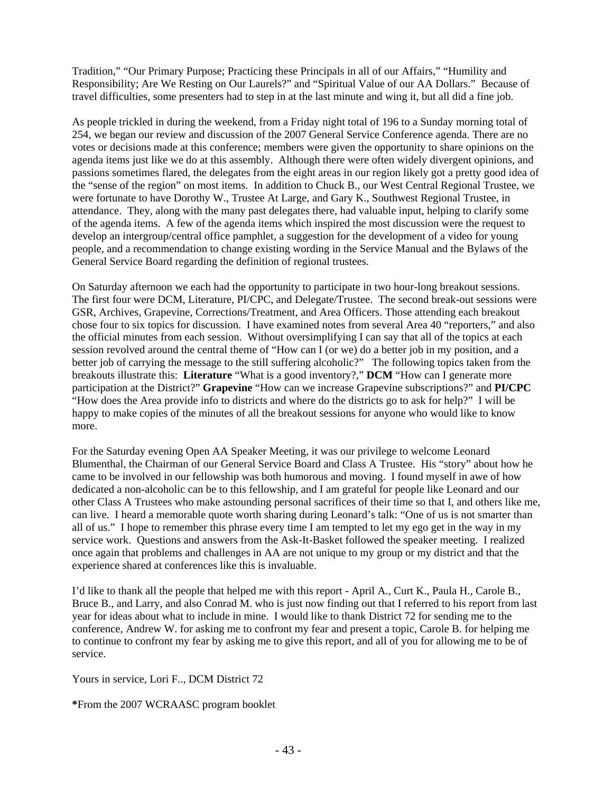Tradition," "Our Primary Purpose; Practicing these Principals in all of our Affairs," "Humility and Responsibility; Are We Resting on Our Laurels?" and "Spiritual Value of our AA Dollars." Because of travel difficulties, some presenters had to step in at the last minute and wing it, but all did a fine job.

As people trickled in during the weekend, from a Friday night total of 196 to a Sunday morning total of 254, we began our review and discussion of the 2007 General Service Conference agenda. There are no votes or decisions made at this conference; members were given the opportunity to share opinions on the agenda items just like we do at this assembly. Although there were often widely divergent opinions, and passions sometimes flared, the delegates from the eight areas in our region likely got a pretty good idea of the "sense of the region" on most items. In addition to Chuck B., our West Central Regional Trustee, we were fortunate to have Dorothy W., Trustee At Large, and Gary K., Southwest Regional Trustee, in attendance. They, along with the many past delegates there, had valuable input, helping to clarify some of the agenda items. A few of the agenda items which inspired the most discussion were the request to develop an intergroup/central office pamphlet, a suggestion for the development of a video for young people, and a recommendation to change existing wording in the Service Manual and the Bylaws of the General Service Board regarding the definition of regional trustees.

On Saturday afternoon we each had the opportunity to participate in two hour-long breakout sessions. The first four were DCM, Literature, PI/CPC, and Delegate/Trustee. The second break-out sessions were GSR, Archives, Grapevine, Corrections/Treatment, and Area Officers. Those attending each breakout chose four to six topics for discussion. I have examined notes from several Area 40 "reporters," and also the official minutes from each session. Without oversimplifying I can say that all of the topics at each session revolved around the central theme of "How can I (or we) do a better job in my position, and a better job of carrying the message to the still suffering alcoholic?" The following topics taken from the breakouts illustrate this: **Literature** "What is a good inventory?," **DCM** "How can I generate more participation at the District?" **Grapevine** "How can we increase Grapevine subscriptions?" and **PI/CPC**  "How does the Area provide info to districts and where do the districts go to ask for help?" I will be happy to make copies of the minutes of all the breakout sessions for anyone who would like to know more.

For the Saturday evening Open AA Speaker Meeting, it was our privilege to welcome Leonard Blumenthal, the Chairman of our General Service Board and Class A Trustee. His "story" about how he came to be involved in our fellowship was both humorous and moving. I found myself in awe of how dedicated a non-alcoholic can be to this fellowship, and I am grateful for people like Leonard and our other Class A Trustees who make astounding personal sacrifices of their time so that I, and others like me, can live. I heard a memorable quote worth sharing during Leonard's talk: "One of us is not smarter than all of us." I hope to remember this phrase every time I am tempted to let my ego get in the way in my service work. Questions and answers from the Ask-It-Basket followed the speaker meeting. I realized once again that problems and challenges in AA are not unique to my group or my district and that the experience shared at conferences like this is invaluable.

I'd like to thank all the people that helped me with this report - April A., Curt K., Paula H., Carole B., Bruce B., and Larry, and also Conrad M. who is just now finding out that I referred to his report from last year for ideas about what to include in mine. I would like to thank District 72 for sending me to the conference, Andrew W. for asking me to confront my fear and present a topic, Carole B. for helping me to continue to confront my fear by asking me to give this report, and all of you for allowing me to be of service.

Yours in service, Lori F.., DCM District 72

**\***From the 2007 WCRAASC program booklet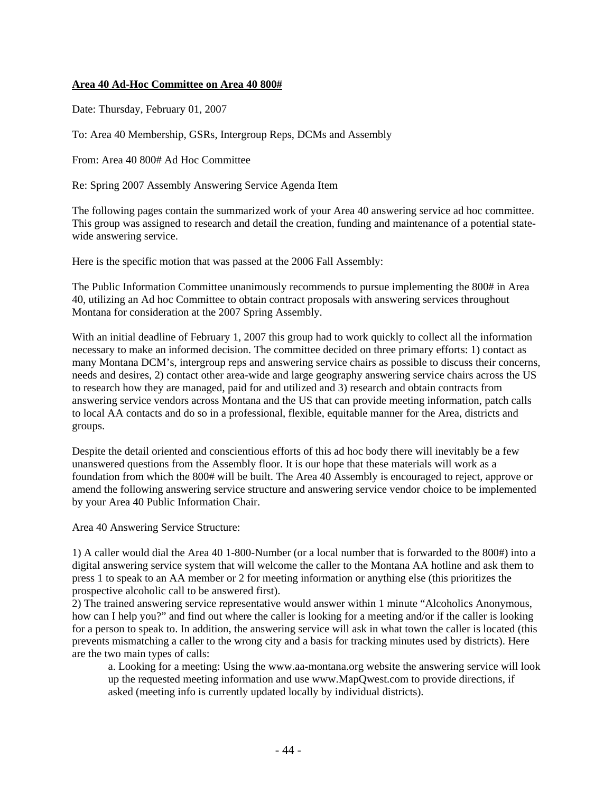## **Area 40 Ad-Hoc Committee on Area 40 800#**

Date: Thursday, February 01, 2007

To: Area 40 Membership, GSRs, Intergroup Reps, DCMs and Assembly

From: Area 40 800# Ad Hoc Committee

Re: Spring 2007 Assembly Answering Service Agenda Item

The following pages contain the summarized work of your Area 40 answering service ad hoc committee. This group was assigned to research and detail the creation, funding and maintenance of a potential statewide answering service.

Here is the specific motion that was passed at the 2006 Fall Assembly:

The Public Information Committee unanimously recommends to pursue implementing the 800# in Area 40, utilizing an Ad hoc Committee to obtain contract proposals with answering services throughout Montana for consideration at the 2007 Spring Assembly.

With an initial deadline of February 1, 2007 this group had to work quickly to collect all the information necessary to make an informed decision. The committee decided on three primary efforts: 1) contact as many Montana DCM's, intergroup reps and answering service chairs as possible to discuss their concerns, needs and desires, 2) contact other area-wide and large geography answering service chairs across the US to research how they are managed, paid for and utilized and 3) research and obtain contracts from answering service vendors across Montana and the US that can provide meeting information, patch calls to local AA contacts and do so in a professional, flexible, equitable manner for the Area, districts and groups.

Despite the detail oriented and conscientious efforts of this ad hoc body there will inevitably be a few unanswered questions from the Assembly floor. It is our hope that these materials will work as a foundation from which the 800# will be built. The Area 40 Assembly is encouraged to reject, approve or amend the following answering service structure and answering service vendor choice to be implemented by your Area 40 Public Information Chair.

Area 40 Answering Service Structure:

1) A caller would dial the Area 40 1-800-Number (or a local number that is forwarded to the 800#) into a digital answering service system that will welcome the caller to the Montana AA hotline and ask them to press 1 to speak to an AA member or 2 for meeting information or anything else (this prioritizes the prospective alcoholic call to be answered first).

2) The trained answering service representative would answer within 1 minute "Alcoholics Anonymous, how can I help you?" and find out where the caller is looking for a meeting and/or if the caller is looking for a person to speak to. In addition, the answering service will ask in what town the caller is located (this prevents mismatching a caller to the wrong city and a basis for tracking minutes used by districts). Here are the two main types of calls:

a. Looking for a meeting: Using the www.aa-montana.org website the answering service will look up the requested meeting information and use www.MapQwest.com to provide directions, if asked (meeting info is currently updated locally by individual districts).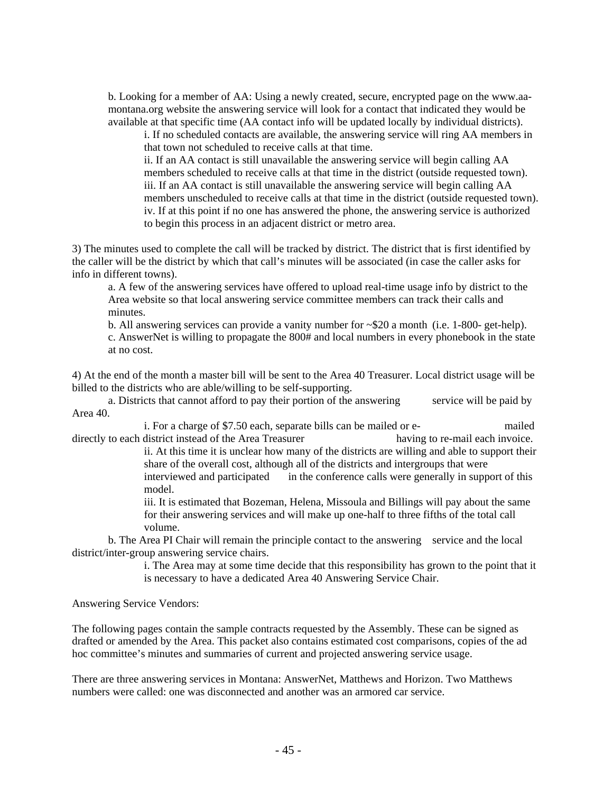b. Looking for a member of AA: Using a newly created, secure, encrypted page on the www.aamontana.org website the answering service will look for a contact that indicated they would be available at that specific time (AA contact info will be updated locally by individual districts).

i. If no scheduled contacts are available, the answering service will ring AA members in that town not scheduled to receive calls at that time.

ii. If an AA contact is still unavailable the answering service will begin calling AA members scheduled to receive calls at that time in the district (outside requested town). iii. If an AA contact is still unavailable the answering service will begin calling AA members unscheduled to receive calls at that time in the district (outside requested town). iv. If at this point if no one has answered the phone, the answering service is authorized to begin this process in an adjacent district or metro area.

3) The minutes used to complete the call will be tracked by district. The district that is first identified by the caller will be the district by which that call's minutes will be associated (in case the caller asks for info in different towns).

a. A few of the answering services have offered to upload real-time usage info by district to the Area website so that local answering service committee members can track their calls and minutes.

 b. All answering services can provide a vanity number for ~\$20 a month (i.e. 1-800- get-help). c. AnswerNet is willing to propagate the 800# and local numbers in every phonebook in the state at no cost.

4) At the end of the month a master bill will be sent to the Area 40 Treasurer. Local district usage will be billed to the districts who are able/willing to be self-supporting.

a. Districts that cannot afford to pay their portion of the answering service will be paid by Area 40.

 i. For a charge of \$7.50 each, separate bills can be mailed or e- mailed directly to each district instead of the Area Treasurer having to re-mail each invoice.

ii. At this time it is unclear how many of the districts are willing and able to support their share of the overall cost, although all of the districts and intergroups that were interviewed and participated in the conference calls were generally in support of this model.

iii. It is estimated that Bozeman, Helena, Missoula and Billings will pay about the same for their answering services and will make up one-half to three fifths of the total call volume.

b. The Area PI Chair will remain the principle contact to the answering service and the local district/inter-group answering service chairs.

i. The Area may at some time decide that this responsibility has grown to the point that it is necessary to have a dedicated Area 40 Answering Service Chair.

Answering Service Vendors:

The following pages contain the sample contracts requested by the Assembly. These can be signed as drafted or amended by the Area. This packet also contains estimated cost comparisons, copies of the ad hoc committee's minutes and summaries of current and projected answering service usage.

There are three answering services in Montana: AnswerNet, Matthews and Horizon. Two Matthews numbers were called: one was disconnected and another was an armored car service.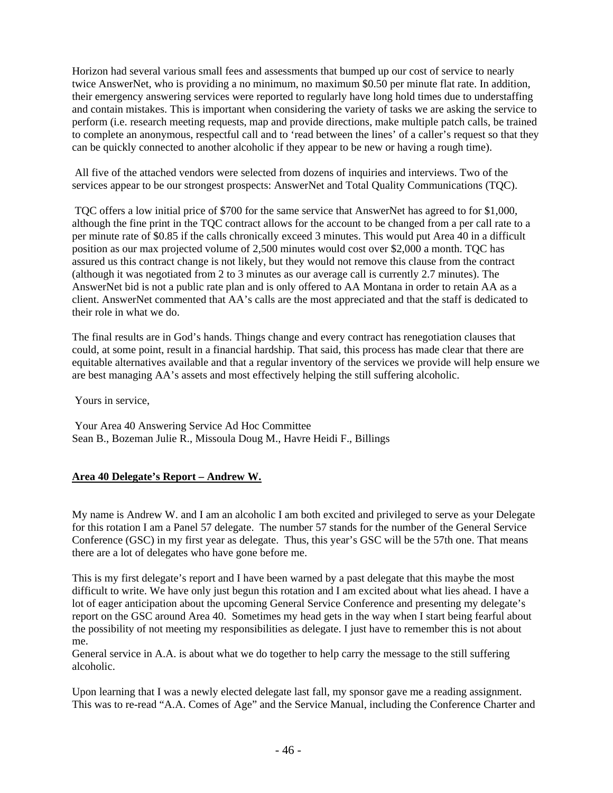Horizon had several various small fees and assessments that bumped up our cost of service to nearly twice AnswerNet, who is providing a no minimum, no maximum \$0.50 per minute flat rate. In addition, their emergency answering services were reported to regularly have long hold times due to understaffing and contain mistakes. This is important when considering the variety of tasks we are asking the service to perform (i.e. research meeting requests, map and provide directions, make multiple patch calls, be trained to complete an anonymous, respectful call and to 'read between the lines' of a caller's request so that they can be quickly connected to another alcoholic if they appear to be new or having a rough time).

 All five of the attached vendors were selected from dozens of inquiries and interviews. Two of the services appear to be our strongest prospects: AnswerNet and Total Quality Communications (TQC).

 TQC offers a low initial price of \$700 for the same service that AnswerNet has agreed to for \$1,000, although the fine print in the TQC contract allows for the account to be changed from a per call rate to a per minute rate of \$0.85 if the calls chronically exceed 3 minutes. This would put Area 40 in a difficult position as our max projected volume of 2,500 minutes would cost over \$2,000 a month. TQC has assured us this contract change is not likely, but they would not remove this clause from the contract (although it was negotiated from 2 to 3 minutes as our average call is currently 2.7 minutes). The AnswerNet bid is not a public rate plan and is only offered to AA Montana in order to retain AA as a client. AnswerNet commented that AA's calls are the most appreciated and that the staff is dedicated to their role in what we do.

The final results are in God's hands. Things change and every contract has renegotiation clauses that could, at some point, result in a financial hardship. That said, this process has made clear that there are equitable alternatives available and that a regular inventory of the services we provide will help ensure we are best managing AA's assets and most effectively helping the still suffering alcoholic.

Yours in service,

 Your Area 40 Answering Service Ad Hoc Committee Sean B., Bozeman Julie R., Missoula Doug M., Havre Heidi F., Billings

# **Area 40 Delegate's Report – Andrew W.**

My name is Andrew W. and I am an alcoholic I am both excited and privileged to serve as your Delegate for this rotation I am a Panel 57 delegate. The number 57 stands for the number of the General Service Conference (GSC) in my first year as delegate. Thus, this year's GSC will be the 57th one. That means there are a lot of delegates who have gone before me.

This is my first delegate's report and I have been warned by a past delegate that this maybe the most difficult to write. We have only just begun this rotation and I am excited about what lies ahead. I have a lot of eager anticipation about the upcoming General Service Conference and presenting my delegate's report on the GSC around Area 40. Sometimes my head gets in the way when I start being fearful about the possibility of not meeting my responsibilities as delegate. I just have to remember this is not about me.

General service in A.A. is about what we do together to help carry the message to the still suffering alcoholic.

Upon learning that I was a newly elected delegate last fall, my sponsor gave me a reading assignment. This was to re-read "A.A. Comes of Age" and the Service Manual, including the Conference Charter and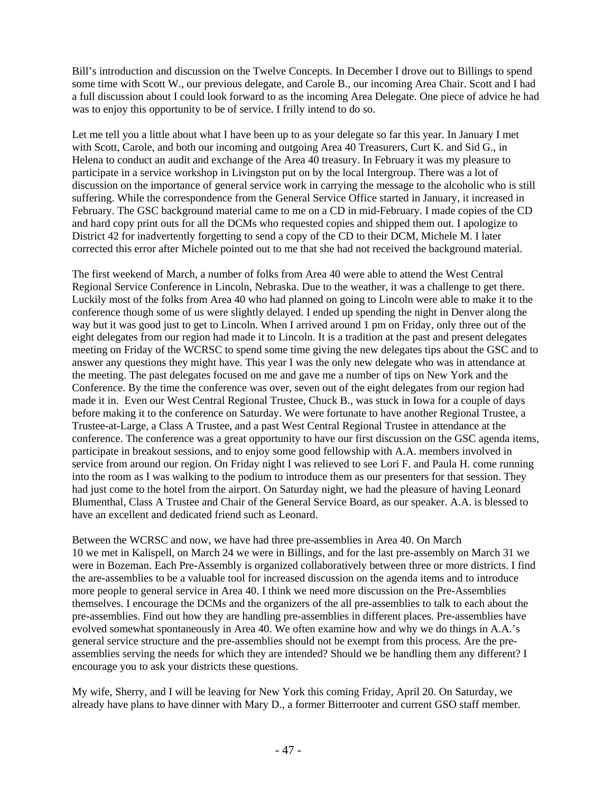Bill's introduction and discussion on the Twelve Concepts. In December I drove out to Billings to spend some time with Scott W., our previous delegate, and Carole B., our incoming Area Chair. Scott and I had a full discussion about I could look forward to as the incoming Area Delegate. One piece of advice he had was to enjoy this opportunity to be of service. I frilly intend to do so.

Let me tell you a little about what I have been up to as your delegate so far this year. In January I met with Scott, Carole, and both our incoming and outgoing Area 40 Treasurers, Curt K. and Sid G., in Helena to conduct an audit and exchange of the Area 40 treasury. In February it was my pleasure to participate in a service workshop in Livingston put on by the local Intergroup. There was a lot of discussion on the importance of general service work in carrying the message to the alcoholic who is still suffering. While the correspondence from the General Service Office started in January, it increased in February. The GSC background material came to me on a CD in mid-February. I made copies of the CD and hard copy print outs for all the DCMs who requested copies and shipped them out. I apologize to District 42 for inadvertently forgetting to send a copy of the CD to their DCM, Michele M. I later corrected this error after Michele pointed out to me that she had not received the background material.

The first weekend of March, a number of folks from Area 40 were able to attend the West Central Regional Service Conference in Lincoln, Nebraska. Due to the weather, it was a challenge to get there. Luckily most of the folks from Area 40 who had planned on going to Lincoln were able to make it to the conference though some of us were slightly delayed. I ended up spending the night in Denver along the way but it was good just to get to Lincoln. When I arrived around 1 pm on Friday, only three out of the eight delegates from our region had made it to Lincoln. It is a tradition at the past and present delegates meeting on Friday of the WCRSC to spend some time giving the new delegates tips about the GSC and to answer any questions they might have. This year I was the only new delegate who was in attendance at the meeting. The past delegates focused on me and gave me a number of tips on New York and the Conference. By the time the conference was over, seven out of the eight delegates from our region had made it in. Even our West Central Regional Trustee, Chuck B., was stuck in Iowa for a couple of days before making it to the conference on Saturday. We were fortunate to have another Regional Trustee, a Trustee-at-Large, a Class A Trustee, and a past West Central Regional Trustee in attendance at the conference. The conference was a great opportunity to have our first discussion on the GSC agenda items, participate in breakout sessions, and to enjoy some good fellowship with A.A. members involved in service from around our region. On Friday night I was relieved to see Lori F. and Paula H. come running into the room as I was walking to the podium to introduce them as our presenters for that session. They had just come to the hotel from the airport. On Saturday night, we had the pleasure of having Leonard Blumenthal, Class A Trustee and Chair of the General Service Board, as our speaker. A.A. is blessed to have an excellent and dedicated friend such as Leonard.

Between the WCRSC and now, we have had three pre-assemblies in Area 40. On March 10 we met in Kalispell, on March 24 we were in Billings, and for the last pre-assembly on March 31 we were in Bozeman. Each Pre-Assembly is organized collaboratively between three or more districts. I find the are-assemblies to be a valuable tool for increased discussion on the agenda items and to introduce more people to general service in Area 40. I think we need more discussion on the Pre-Assemblies themselves. I encourage the DCMs and the organizers of the all pre-assemblies to talk to each about the pre-assemblies. Find out how they are handling pre-assemblies in different places. Pre-assemblies have evolved somewhat spontaneously in Area 40. We often examine how and why we do things in A.A.'s general service structure and the pre-assemblies should not be exempt from this process. Are the preassemblies serving the needs for which they are intended? Should we be handling them any different? I encourage you to ask your districts these questions.

My wife, Sherry, and I will be leaving for New York this coming Friday, April 20. On Saturday, we already have plans to have dinner with Mary D., a former Bitterrooter and current GSO staff member.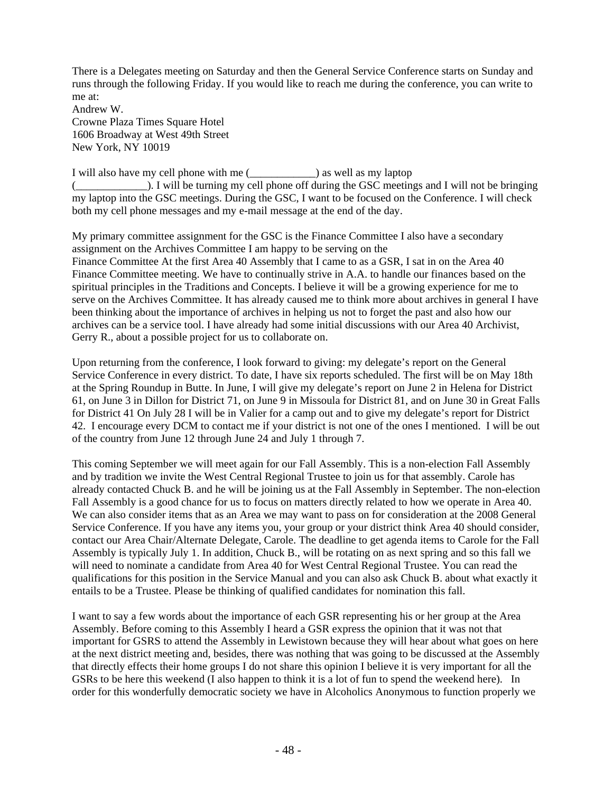There is a Delegates meeting on Saturday and then the General Service Conference starts on Sunday and runs through the following Friday. If you would like to reach me during the conference, you can write to me at:

Andrew W. Crowne Plaza Times Square Hotel 1606 Broadway at West 49th Street New York, NY 10019

I will also have my cell phone with me (\_\_\_\_\_\_\_\_\_\_\_\_) as well as my laptop (\_\_\_\_\_\_\_\_\_\_\_\_\_). I will be turning my cell phone off during the GSC meetings and I will not be bringing my laptop into the GSC meetings. During the GSC, I want to be focused on the Conference. I will check both my cell phone messages and my e-mail message at the end of the day.

My primary committee assignment for the GSC is the Finance Committee I also have a secondary assignment on the Archives Committee I am happy to be serving on the Finance Committee At the first Area 40 Assembly that I came to as a GSR, I sat in on the Area 40 Finance Committee meeting. We have to continually strive in A.A. to handle our finances based on the spiritual principles in the Traditions and Concepts. I believe it will be a growing experience for me to serve on the Archives Committee. It has already caused me to think more about archives in general I have been thinking about the importance of archives in helping us not to forget the past and also how our archives can be a service tool. I have already had some initial discussions with our Area 40 Archivist, Gerry R., about a possible project for us to collaborate on.

Upon returning from the conference, I look forward to giving: my delegate's report on the General Service Conference in every district. To date, I have six reports scheduled. The first will be on May 18th at the Spring Roundup in Butte. In June, I will give my delegate's report on June 2 in Helena for District 61, on June 3 in Dillon for District 71, on June 9 in Missoula for District 81, and on June 30 in Great Falls for District 41 On July 28 I will be in Valier for a camp out and to give my delegate's report for District 42. I encourage every DCM to contact me if your district is not one of the ones I mentioned. I will be out of the country from June 12 through June 24 and July 1 through 7.

This coming September we will meet again for our Fall Assembly. This is a non-election Fall Assembly and by tradition we invite the West Central Regional Trustee to join us for that assembly. Carole has already contacted Chuck B. and he will be joining us at the Fall Assembly in September. The non-election Fall Assembly is a good chance for us to focus on matters directly related to how we operate in Area 40. We can also consider items that as an Area we may want to pass on for consideration at the 2008 General Service Conference. If you have any items you, your group or your district think Area 40 should consider, contact our Area Chair/Alternate Delegate, Carole. The deadline to get agenda items to Carole for the Fall Assembly is typically July 1. In addition, Chuck B., will be rotating on as next spring and so this fall we will need to nominate a candidate from Area 40 for West Central Regional Trustee. You can read the qualifications for this position in the Service Manual and you can also ask Chuck B. about what exactly it entails to be a Trustee. Please be thinking of qualified candidates for nomination this fall.

I want to say a few words about the importance of each GSR representing his or her group at the Area Assembly. Before coming to this Assembly I heard a GSR express the opinion that it was not that important for GSRS to attend the Assembly in Lewistown because they will hear about what goes on here at the next district meeting and, besides, there was nothing that was going to be discussed at the Assembly that directly effects their home groups I do not share this opinion I believe it is very important for all the GSRs to be here this weekend (I also happen to think it is a lot of fun to spend the weekend here). In order for this wonderfully democratic society we have in Alcoholics Anonymous to function properly we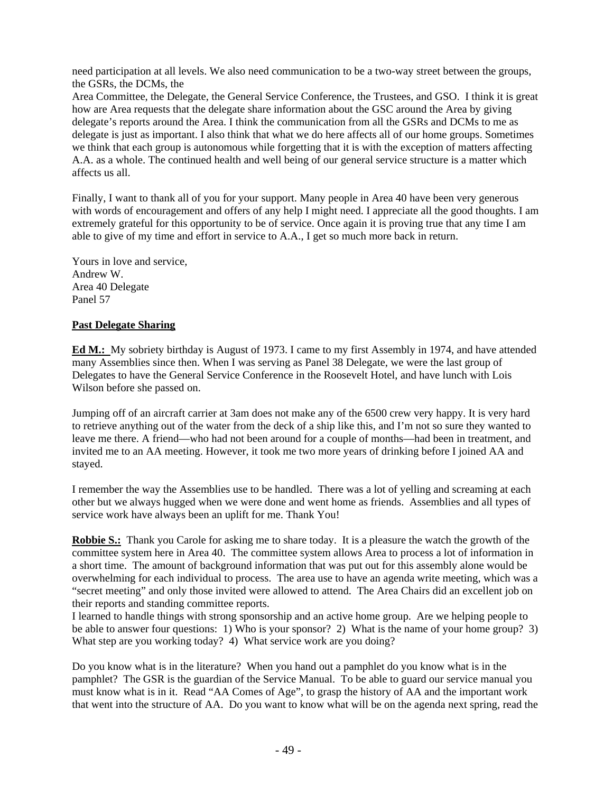need participation at all levels. We also need communication to be a two-way street between the groups, the GSRs, the DCMs, the

Area Committee, the Delegate, the General Service Conference, the Trustees, and GSO. I think it is great how are Area requests that the delegate share information about the GSC around the Area by giving delegate's reports around the Area. I think the communication from all the GSRs and DCMs to me as delegate is just as important. I also think that what we do here affects all of our home groups. Sometimes we think that each group is autonomous while forgetting that it is with the exception of matters affecting A.A. as a whole. The continued health and well being of our general service structure is a matter which affects us all.

Finally, I want to thank all of you for your support. Many people in Area 40 have been very generous with words of encouragement and offers of any help I might need. I appreciate all the good thoughts. I am extremely grateful for this opportunity to be of service. Once again it is proving true that any time I am able to give of my time and effort in service to A.A., I get so much more back in return.

Yours in love and service, Andrew W. Area 40 Delegate Panel 57

# **Past Delegate Sharing**

**Ed M.:** My sobriety birthday is August of 1973. I came to my first Assembly in 1974, and have attended many Assemblies since then. When I was serving as Panel 38 Delegate, we were the last group of Delegates to have the General Service Conference in the Roosevelt Hotel, and have lunch with Lois Wilson before she passed on.

Jumping off of an aircraft carrier at 3am does not make any of the 6500 crew very happy. It is very hard to retrieve anything out of the water from the deck of a ship like this, and I'm not so sure they wanted to leave me there. A friend—who had not been around for a couple of months—had been in treatment, and invited me to an AA meeting. However, it took me two more years of drinking before I joined AA and stayed.

I remember the way the Assemblies use to be handled. There was a lot of yelling and screaming at each other but we always hugged when we were done and went home as friends. Assemblies and all types of service work have always been an uplift for me. Thank You!

**Robbie S.:** Thank you Carole for asking me to share today. It is a pleasure the watch the growth of the committee system here in Area 40. The committee system allows Area to process a lot of information in a short time. The amount of background information that was put out for this assembly alone would be overwhelming for each individual to process. The area use to have an agenda write meeting, which was a "secret meeting" and only those invited were allowed to attend. The Area Chairs did an excellent job on their reports and standing committee reports.

I learned to handle things with strong sponsorship and an active home group. Are we helping people to be able to answer four questions: 1) Who is your sponsor? 2) What is the name of your home group? 3) What step are you working today? 4) What service work are you doing?

Do you know what is in the literature? When you hand out a pamphlet do you know what is in the pamphlet? The GSR is the guardian of the Service Manual. To be able to guard our service manual you must know what is in it. Read "AA Comes of Age", to grasp the history of AA and the important work that went into the structure of AA. Do you want to know what will be on the agenda next spring, read the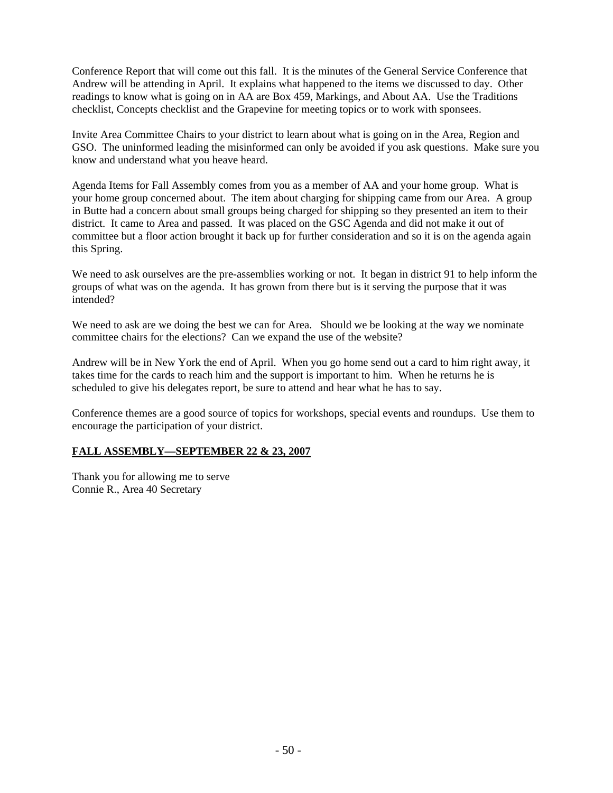Conference Report that will come out this fall. It is the minutes of the General Service Conference that Andrew will be attending in April. It explains what happened to the items we discussed to day. Other readings to know what is going on in AA are Box 459, Markings, and About AA. Use the Traditions checklist, Concepts checklist and the Grapevine for meeting topics or to work with sponsees.

Invite Area Committee Chairs to your district to learn about what is going on in the Area, Region and GSO. The uninformed leading the misinformed can only be avoided if you ask questions. Make sure you know and understand what you heave heard.

Agenda Items for Fall Assembly comes from you as a member of AA and your home group. What is your home group concerned about. The item about charging for shipping came from our Area. A group in Butte had a concern about small groups being charged for shipping so they presented an item to their district. It came to Area and passed. It was placed on the GSC Agenda and did not make it out of committee but a floor action brought it back up for further consideration and so it is on the agenda again this Spring.

We need to ask ourselves are the pre-assemblies working or not. It began in district 91 to help inform the groups of what was on the agenda. It has grown from there but is it serving the purpose that it was intended?

We need to ask are we doing the best we can for Area. Should we be looking at the way we nominate committee chairs for the elections? Can we expand the use of the website?

Andrew will be in New York the end of April. When you go home send out a card to him right away, it takes time for the cards to reach him and the support is important to him. When he returns he is scheduled to give his delegates report, be sure to attend and hear what he has to say.

Conference themes are a good source of topics for workshops, special events and roundups. Use them to encourage the participation of your district.

# **FALL ASSEMBLY—SEPTEMBER 22 & 23, 2007**

Thank you for allowing me to serve Connie R., Area 40 Secretary